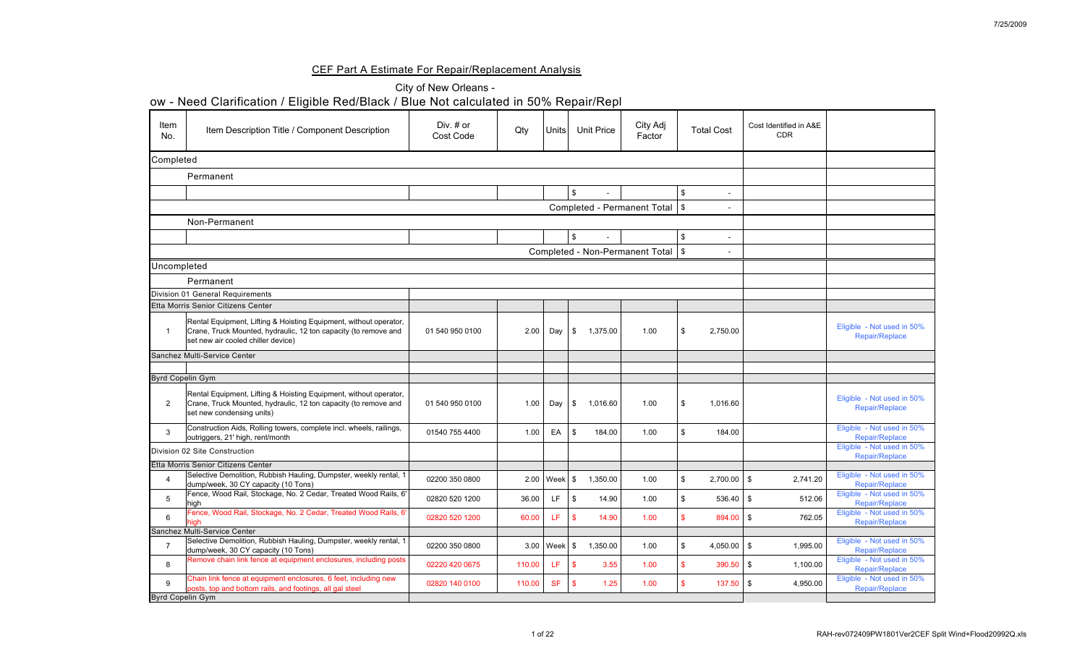## CEF Part A Estimate For Repair/Replacement Analysis

|                    | ow - Need Clarification / Eligible Red/Black / Blue Not calculated in 50% Repair/Repl                                                                                      |                                 |        |                          |                                      |                                      |                    |                                      |                                                     |
|--------------------|----------------------------------------------------------------------------------------------------------------------------------------------------------------------------|---------------------------------|--------|--------------------------|--------------------------------------|--------------------------------------|--------------------|--------------------------------------|-----------------------------------------------------|
| <b>Item</b><br>No. | Item Description Title / Component Description                                                                                                                             | Div. $#$ or<br><b>Cost Code</b> | Qty    | Units                    | <b>Unit Price</b>                    | City Adj<br>Factor                   | <b>Total Cost</b>  | Cost Identified in A&E<br><b>CDR</b> |                                                     |
| Completed          |                                                                                                                                                                            |                                 |        |                          |                                      |                                      |                    |                                      |                                                     |
|                    | Permanent                                                                                                                                                                  |                                 |        |                          |                                      |                                      |                    |                                      |                                                     |
|                    |                                                                                                                                                                            |                                 |        |                          |                                      |                                      |                    |                                      |                                                     |
|                    |                                                                                                                                                                            |                                 |        |                          |                                      | Completed - Permanent Total   \$     |                    |                                      |                                                     |
|                    | Non-Permanent                                                                                                                                                              |                                 |        |                          |                                      |                                      |                    |                                      |                                                     |
|                    |                                                                                                                                                                            |                                 |        |                          |                                      |                                      |                    |                                      |                                                     |
|                    |                                                                                                                                                                            |                                 |        |                          |                                      | Completed - Non-Permanent Total   \$ |                    |                                      |                                                     |
| Uncompleted        |                                                                                                                                                                            |                                 |        |                          |                                      |                                      |                    |                                      |                                                     |
|                    | Permanent                                                                                                                                                                  |                                 |        |                          |                                      |                                      |                    |                                      |                                                     |
|                    | Division 01 General Requirements                                                                                                                                           |                                 |        |                          |                                      |                                      |                    |                                      |                                                     |
|                    | <b>Etta Morris Senior Citizens Center</b>                                                                                                                                  |                                 |        |                          |                                      |                                      |                    |                                      |                                                     |
|                    | Rental Equipment, Lifting & Hoisting Equipment, without operator,<br>Crane, Truck Mounted, hydraulic, 12 ton capacity (to remove and<br>set new air cooled chiller device) | 01 540 950 0100                 |        | $2.00$ Day $\frac{1}{9}$ | 1,375.00                             | 1.00                                 | 2,750.00<br>l \$   |                                      | Eligible - Not used in 50%<br>Repair/Replace        |
|                    | Sanchez Multi-Service Center                                                                                                                                               |                                 |        |                          |                                      |                                      |                    |                                      |                                                     |
|                    |                                                                                                                                                                            |                                 |        |                          |                                      |                                      |                    |                                      |                                                     |
|                    | <b>Byrd Copelin Gym</b>                                                                                                                                                    |                                 |        |                          |                                      |                                      |                    |                                      |                                                     |
| $\overline{2}$     | Rental Equipment, Lifting & Hoisting Equipment, without operator,<br>Crane, Truck Mounted, hydraulic, 12 ton capacity (to remove and<br>set new condensing units)          | 01 540 950 0100                 | 1.00   | Day $ $                  | $\mathfrak{F}$<br>1,016.60           | 1.00                                 | 1,016.60           |                                      | Eligible - Not used in 50%<br>Repair/Replace        |
| 3                  | Construction Aids, Rolling towers, complete incl. wheels, railings,<br>outriggers, 21' high, rent/month                                                                    | 01540 755 4400                  | 1.00   | EA                       | 184.00<br>$\boldsymbol{\mathcal{S}}$ | 1.00                                 | 184.00             |                                      | Eligible - Not used in 50%<br>Repair/Replace        |
|                    | <b>Division 02 Site Construction</b>                                                                                                                                       |                                 |        |                          |                                      |                                      |                    |                                      | Eligible - Not used in 50%<br>Repair/Replace        |
|                    | Etta Morris Senior Citizens Center                                                                                                                                         |                                 |        |                          |                                      |                                      |                    |                                      |                                                     |
|                    | Selective Demolition, Rubbish Hauling, Dumpster, weekly rental, 1<br>dump/week, 30 CY capacity (10 Tons)                                                                   | 02200 350 0800                  |        | $2.00$   Week   \$       | 1,350.00                             | 1.00                                 | $2,700.00$   \$    | 2,741.20                             | Eligible - Not used in 50%<br>Repair/Replace        |
| 5                  | Fence, Wood Rail, Stockage, No. 2 Cedar, Treated Wood Rails, 6'<br>high                                                                                                    | 02820 520 1200                  | 36.00  | LF.                      | 14.90<br>\$                          | 1.00                                 | 536.40             | 512.06<br>- \$                       | Eligible - Not used in 50%<br>Repair/Replace        |
| $6^{\circ}$        | Fence, Wood Rail, Stockage, No. 2 Cedar, Treated Wood Rails, 6'                                                                                                            | 02820 520 1200                  | 60.00  | LF.                      | 14.90<br>$\mathbf{\$}$               | 1.00                                 | 894.00 \$          | 762.05                               | Eligible - Not used in 50%<br><b>Repair/Replace</b> |
|                    | Sanchez Multi-Service Center                                                                                                                                               |                                 |        |                          |                                      |                                      |                    |                                      |                                                     |
|                    | Selective Demolition, Rubbish Hauling, Dumpster, weekly rental, 1<br>dump/week, 30 CY capacity (10 Tons)                                                                   | 02200 350 0800                  |        | $3.00$   Week   \$       | 1,350.00                             | 1.00                                 | 4,050.00 $\mid$ \$ | 1,995.00                             | Eligible - Not used in 50%<br>Repair/Replace        |
| 8                  | Remove chain link fence at equipment enclosures, including posts                                                                                                           | 02220 420 0675                  | 110.00 | LF.                      | 3.55<br>- \$                         | 1.00                                 | $390.50$ \$        | 1,100.00                             | Eligible - Not used in 50%<br><b>Repair/Replace</b> |
| 9                  | Chain link fence at equipment enclosures, 6 feet, including new<br>posts, top and bottom rails, and footings, all gal steel                                                | 02820 140 0100                  | 110.00 | <b>SF</b>                | $\mathcal{S}$<br>1.25                | 1.00                                 | $137.50$ \$        | 4,950.00                             | Eligible - Not used in 50%<br>Repair/Replace        |
|                    | <b>Byrd Copelin Gym</b>                                                                                                                                                    |                                 |        |                          |                                      |                                      |                    |                                      |                                                     |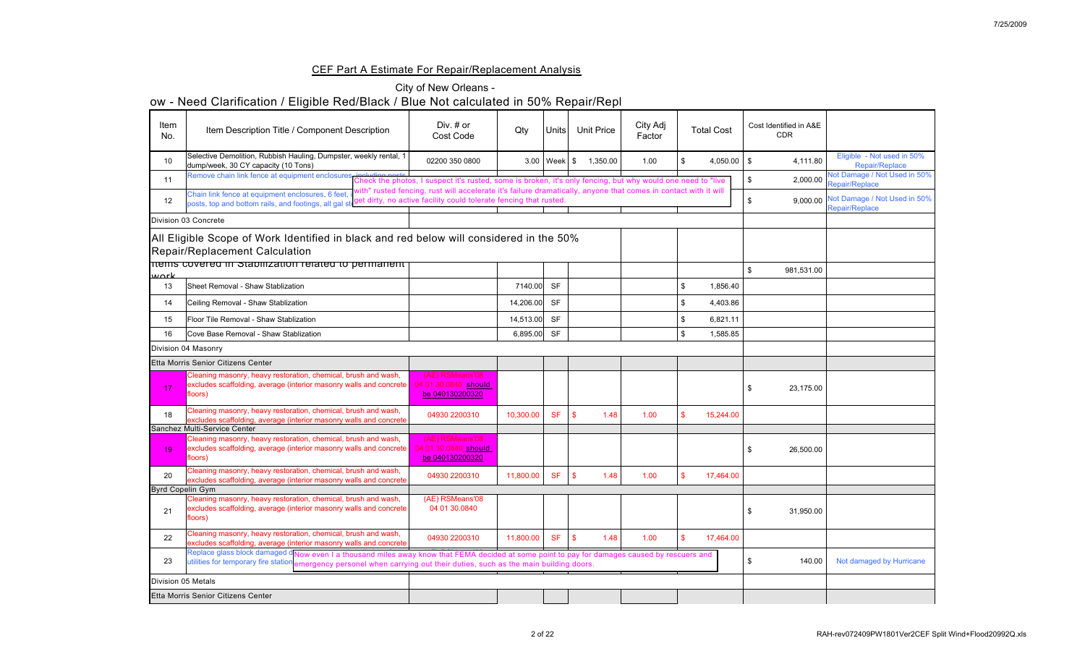## CEF Part A Estimate For Repair/Replacement Analysis

|                         | ow - Need Clarification / Eligible Red/Black / Blue Not calculated in 50% Repair/Repl                                                                                                                                                                                    |                                                                                                                 |           |                    |               |                   |                    |                    |                                      |                                                     |
|-------------------------|--------------------------------------------------------------------------------------------------------------------------------------------------------------------------------------------------------------------------------------------------------------------------|-----------------------------------------------------------------------------------------------------------------|-----------|--------------------|---------------|-------------------|--------------------|--------------------|--------------------------------------|-----------------------------------------------------|
| Item<br>No.             | Item Description Title / Component Description                                                                                                                                                                                                                           | Div. # or<br>Cost Code                                                                                          | Qty       | Units              |               | <b>Unit Price</b> | City Adj<br>Factor | <b>Total Cost</b>  | Cost Identified in A&E<br><b>CDR</b> |                                                     |
| 10                      | Selective Demolition, Rubbish Hauling, Dumpster, weekly rental, 1<br>dump/week, 30 CY capacity (10 Tons)                                                                                                                                                                 | 02200 350 0800                                                                                                  |           | $3.00$   Week   \$ |               | 1,350.00          | 1.00               | 4,050.00 $\mid$ \$ | 4,111.80                             | Eligible - Not used in 50%<br><b>Repair/Replace</b> |
| 11                      | Remove chain link fence at equipment enclosures including posts.<br>Check the photos, I suspect it's rusted, some is broken, it's only fencing, but why would one need to "live"                                                                                         |                                                                                                                 |           |                    |               |                   |                    |                    | 2,000.00                             | Not Damage / Not Used in 50%<br>Repair/Replace      |
| 12                      | Chain link fence at equipment enclosures, 6 feet,<br>posts, top and bottom rails, and footings, all gal structure facility, no active facility could tolerate fencing that rusted.                                                                                       | vith" rusted fencing, rust will accelerate it's failure dramatically, anyone that comes in contact with it will |           |                    |               |                   |                    |                    | 9,000.00                             | Not Damage / Not Used in 50%<br>Repair/Replace      |
|                         | Division 03 Concrete                                                                                                                                                                                                                                                     |                                                                                                                 |           |                    |               |                   |                    |                    |                                      |                                                     |
|                         | All Eligible Scope of Work Identified in black and red below will considered in the 50%<br><b>Repair/Replacement Calculation</b>                                                                                                                                         |                                                                                                                 |           |                    |               |                   |                    |                    |                                      |                                                     |
|                         | Tuems covered in Stabilization related to permanent                                                                                                                                                                                                                      |                                                                                                                 |           |                    |               |                   |                    |                    |                                      |                                                     |
| <u>Wark</u>             |                                                                                                                                                                                                                                                                          |                                                                                                                 |           |                    |               |                   |                    |                    | 981,531.00                           |                                                     |
| 13                      | Sheet Removal - Shaw Stablization                                                                                                                                                                                                                                        |                                                                                                                 | 7140.00   | <b>SF</b>          |               |                   |                    | 1,856.40           |                                      |                                                     |
| 14                      | Ceiling Removal - Shaw Stablization                                                                                                                                                                                                                                      |                                                                                                                 | 14,206.00 | <b>SF</b>          |               |                   |                    | 4,403.86           |                                      |                                                     |
| $15\,$                  | Floor Tile Removal - Shaw Stablization                                                                                                                                                                                                                                   |                                                                                                                 | 14,513.00 | <b>SF</b>          |               |                   |                    | 6,821.11           |                                      |                                                     |
| 16                      | Cove Base Removal - Shaw Stablization                                                                                                                                                                                                                                    |                                                                                                                 | 6,895.00  | <b>SF</b>          |               |                   |                    | 1,585.85           |                                      |                                                     |
|                         | Division 04 Masonry                                                                                                                                                                                                                                                      |                                                                                                                 |           |                    |               |                   |                    |                    |                                      |                                                     |
|                         | Etta Morris Senior Citizens Center                                                                                                                                                                                                                                       |                                                                                                                 |           |                    |               |                   |                    |                    |                                      |                                                     |
| 17                      | Cleaning masonry, heavy restoration, chemical, brush and wash,<br>excludes scaffolding, average (interior masonry walls and concrete<br>floors)                                                                                                                          | (AE) RSMeans'08<br>04 01 30.0840 should<br>be 040130200320                                                      |           |                    |               |                   |                    |                    | 23,175.00                            |                                                     |
| 18                      | Cleaning masonry, heavy restoration, chemical, brush and wash,<br>excludes scaffolding, average (interior masonry walls and concrete                                                                                                                                     | 04930 2200310                                                                                                   | 10,300.00 | <b>SF</b>          | $\mathbf{\$}$ | 1.48              | 1.00               | 15,244.00          |                                      |                                                     |
|                         | Sanchez Multi-Service Center                                                                                                                                                                                                                                             |                                                                                                                 |           |                    |               |                   |                    |                    |                                      |                                                     |
| 19                      | Cleaning masonry, heavy restoration, chemical, brush and wash,<br>excludes scaffolding, average (interior masonry walls and concrete<br>floors)                                                                                                                          | (AE) RSMeans'08<br>04 01 30.0840 should<br>be 040130200320                                                      |           |                    |               |                   |                    |                    | 26,500.00                            |                                                     |
| 20                      | Cleaning masonry, heavy restoration, chemical, brush and wash,<br>excludes scaffolding, average (interior masonry walls and concrete                                                                                                                                     | 04930 2200310                                                                                                   | 11,800.00 | <b>SF</b>          | $\mathbf{\$}$ | 1.48              | 1.00               | 17,464.00          |                                      |                                                     |
| <b>Byrd Copelin Gym</b> | Cleaning masonry, heavy restoration, chemical, brush and wash,                                                                                                                                                                                                           | (AE) RSMeans'08                                                                                                 |           |                    |               |                   |                    |                    |                                      |                                                     |
| 21                      | excludes scaffolding, average (interior masonry walls and concrete)<br>floors)                                                                                                                                                                                           | 04 01 30.0840                                                                                                   |           |                    |               |                   |                    |                    | 31,950.00                            |                                                     |
| 22                      | Cleaning masonry, heavy restoration, chemical, brush and wash,<br>excludes scaffolding, average (interior masonry walls and concrete)                                                                                                                                    | 04930 2200310                                                                                                   | 11,800.00 | <b>SF</b>          | $\mathbf{\$}$ | 1.48              | 1.00               | 17,464.00          |                                      |                                                     |
| 23                      | Replace glass block damaged dNow even I a thousand miles away know that FEMA decided at some point to pay for damages caused by rescuers and<br>utilities for temporary fire station emergency personel when carrying out their duties, such as the main building doors. |                                                                                                                 |           |                    |               |                   |                    |                    | 140.00                               | Not damaged by Hurricane                            |
| Division 05 Metals      |                                                                                                                                                                                                                                                                          |                                                                                                                 |           |                    |               |                   |                    |                    |                                      |                                                     |
|                         | Etta Morris Senior Citizens Center                                                                                                                                                                                                                                       |                                                                                                                 |           |                    |               |                   |                    |                    |                                      |                                                     |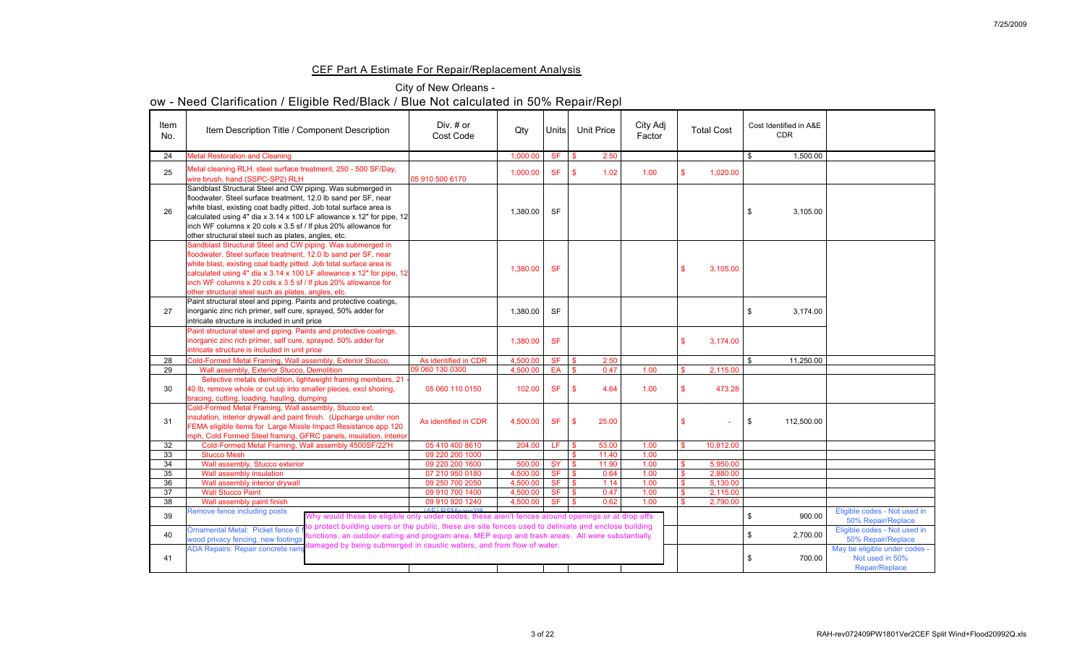## CEF Part A Estimate For Repair/Replacement Analysis

## City of New Orleans -

| Item<br>No. | Item Description Title / Component Description                                                                                                                                                                                                                                                                                                                                                          | Div. # or<br><b>Cost Code</b>      | Qty                  | Units <sup> </sup>     |                          | <b>Unit Price</b> | City Adj<br>Factor | <b>Total Cost</b>    | Cost Identified in A&E<br><b>CDR</b> |                                                                    |
|-------------|---------------------------------------------------------------------------------------------------------------------------------------------------------------------------------------------------------------------------------------------------------------------------------------------------------------------------------------------------------------------------------------------------------|------------------------------------|----------------------|------------------------|--------------------------|-------------------|--------------------|----------------------|--------------------------------------|--------------------------------------------------------------------|
| 24          | <b>Metal Restoration and Cleaning</b>                                                                                                                                                                                                                                                                                                                                                                   |                                    | 1,000.00             | <b>SF</b>              | $\mathbb{S}$             | 2.50              |                    |                      | 1,500.00                             |                                                                    |
| 25          | Metal cleaning RLH, steel surface treatment, 250 - 500 SF/Day,<br>wire brush, hand (SSPC-SP2) RLH                                                                                                                                                                                                                                                                                                       | 05 910 500 6170                    | 1,000.00             | <b>SF</b>              | $\mathbf{\hat{s}}$       | 1.02              | 1.00               | 1,020.00             |                                      |                                                                    |
| 26          | Sandblast Structural Steel and CW piping. Was submerged in<br>floodwater. Steel surface treatment, 12.0 lb sand per SF, near<br>white blast, existing coat badly pitted. Job total surface area is<br>calculated using 4" dia x 3.14 x 100 LF allowance x 12" for pipe, 12<br>inch WF columns $x$ 20 cols $x$ 3.5 sf / If plus 20% allowance for<br>other structural steel such as plates, angles, etc. |                                    | 1,380.00             | <b>SF</b>              |                          |                   |                    |                      | 3,105.00                             |                                                                    |
|             | Sandblast Structural Steel and CW piping. Was submerged in<br>floodwater. Steel surface treatment, 12.0 lb sand per SF, near<br>white blast, existing coat badly pitted. Job total surface area is<br>calculated using 4" dia x 3.14 x 100 LF allowance x 12" for pipe, 12<br>inch WF columns x 20 cols x 3.5 sf / If plus 20% allowance for<br>other structural steel such as plates, angles, etc.     |                                    | 1,380.00             | <b>SF</b>              |                          |                   |                    | 3,105.00             |                                      |                                                                    |
| 27          | Paint structural steel and piping. Paints and protective coatings,<br>inorganic zinc rich primer, self cure, sprayed, 50% adder for<br>intricate structure is included in unit price                                                                                                                                                                                                                    |                                    | 1,380.00             | <b>SF</b>              |                          |                   |                    |                      | 3,174.00                             |                                                                    |
|             | Paint structural steel and piping. Paints and protective coatings,<br>inorganic zinc rich primer, self cure, sprayed, 50% adder for<br>intricate structure is included in unit price                                                                                                                                                                                                                    |                                    | 1,380.00             | <b>SF</b>              |                          |                   |                    | 3,174.00             |                                      |                                                                    |
| 28          | Cold-Formed Metal Framing, Wall assembly, Exterior Stucco,                                                                                                                                                                                                                                                                                                                                              | As identified in CDR               | 4,500.00             | <b>SF</b>              | $\mathbf{\$}$            | 2.50              |                    |                      | 11,250.00                            |                                                                    |
| 29          | Wall assembly, Exterior Stucco, Demolition                                                                                                                                                                                                                                                                                                                                                              | 09 060 130 0300                    | 4,500.00             | EA                     | $\mathbf{\$}$            | 0.47              | 1.00               | 2,115.00             |                                      |                                                                    |
| 30          | Selective metals demolition, lightweight framing members, 21 -<br>40 lb, remove whole or cut up into smaller pieces, excl shoring,<br>bracing, cutting, loading, hauling, dumping                                                                                                                                                                                                                       | 05 060 110 0150                    | 102.00               | <b>SF</b>              |                          | 4.64              | 1.00               | 473.28               |                                      |                                                                    |
| 31          | Cold-Formed Metal Framing, Wall assembly, Stucco ext,<br>insulation, interior drywall and paint finish. (Upcharge under non<br>FEMA eligible items for Large Missle Impact Resistance app 120<br>mph, Cold Formed Steel framing, GFRC panels, insulation, interior                                                                                                                                      | As identified in CDR               | 4,500.00             | <b>SF</b>              | $\mathcal{S}$            | 25.00             |                    |                      | \$<br>112,500.00                     |                                                                    |
| 32          | Cold-Formed Metal Framing, Wall assembly 4500SF/22'H                                                                                                                                                                                                                                                                                                                                                    | 05 410 400 8610                    | 204.00               | LF.                    | <b>S</b>                 | 53.00             | 1.00               | 10,812.00            |                                      |                                                                    |
| 33          | <b>Stucco Mesh</b>                                                                                                                                                                                                                                                                                                                                                                                      | 09 220 200 1000                    |                      |                        |                          | 11.40             | 1.00               |                      |                                      |                                                                    |
| 34          | Wall assembly, Stucco exterior                                                                                                                                                                                                                                                                                                                                                                          | 09 220 200 1600                    | 500.00               | <b>SY</b>              | $\sqrt{S}$               | 11.90             | 1.00               | 5,950.00             |                                      |                                                                    |
| 35<br>36    | Wall assembly insulation<br>Wall assembly interior drywall                                                                                                                                                                                                                                                                                                                                              | 07 210 950 0180<br>09 250 700 2050 | 4,500.00<br>4,500.00 | <b>SF</b><br><b>SF</b> | $\vert$ \$<br>1S         | 0.64<br>1.14      | 1.00<br>1.00       | 2,880.00<br>5,130.00 |                                      |                                                                    |
| 37          | <b>Wall Stucco Paint</b>                                                                                                                                                                                                                                                                                                                                                                                | 09 910 700 1400                    | 4,500.00             | <b>SF</b>              | $\overline{\phantom{a}}$ | 0.47              | 1.00               | 2,115.00             |                                      |                                                                    |
| 38          | Wall assembly paint finish                                                                                                                                                                                                                                                                                                                                                                              | 09 910 920 1240                    | 4,500.00             | <b>SF</b>              | $\mathbf{s}$             | 0.62              | 1.00               | 2,790.00             |                                      |                                                                    |
| 39          | Remove fence including posts<br>Why would these be eligible only under codes, these aren't fences around openings or at drop offs                                                                                                                                                                                                                                                                       | (AL) DCM                           |                      |                        |                          |                   |                    |                      | 900.00                               | Eligible codes - Not used in<br>50% Repair/Replace                 |
| 40          | o protect building users or the public, these are site fences used to deliniate and enclose building<br>Ornamental Metal: Picket fence 6 f<br>unctions, an outdoor eating and program area, MEP equip and trash areas. All were substantially<br>wood privacy fencing, new footings                                                                                                                     |                                    |                      |                        |                          |                   |                    |                      | 2,700.00                             | Eligible codes - Not used in<br>50% Repair/Replace                 |
| 41          | lamaged by being submerged in caustic waters, and from flow of water.<br><b>ADA Repairs: Repair concrete ram</b>                                                                                                                                                                                                                                                                                        |                                    |                      |                        |                          |                   |                    |                      | 700.00                               | May be eligible under codes -<br>Not used in 50%<br>Repair/Replace |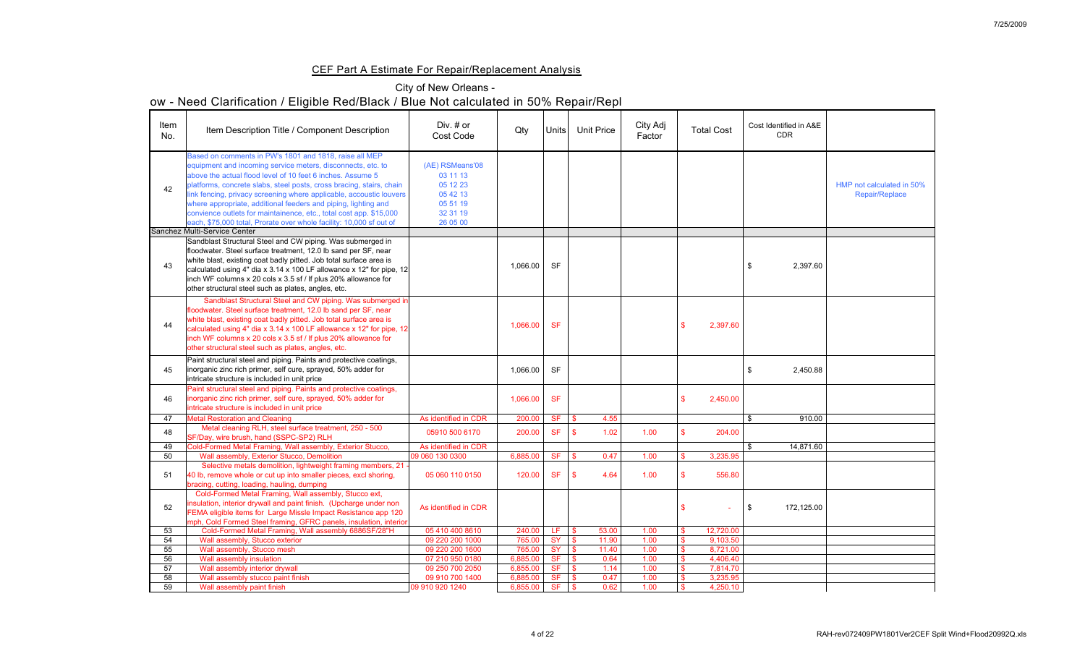## CEF Part A Estimate For Repair/Replacement Analysis

## City of New Orleans -

| Item<br>No. | Item Description Title / Component Description                                                                                                                                                                                                                                                                                                                                                                                                                                                                                                    | Div. # or<br><b>Cost Code</b>                                                           | Qty      | Units     | <b>Unit Price</b> |       | City Adj<br>Factor | <b>Total Cost</b> | Cost Identified in A&E<br><b>CDR</b> |                                                    |
|-------------|---------------------------------------------------------------------------------------------------------------------------------------------------------------------------------------------------------------------------------------------------------------------------------------------------------------------------------------------------------------------------------------------------------------------------------------------------------------------------------------------------------------------------------------------------|-----------------------------------------------------------------------------------------|----------|-----------|-------------------|-------|--------------------|-------------------|--------------------------------------|----------------------------------------------------|
| 42          | Based on comments in PW's 1801 and 1818, raise all MEP<br>equipment and incoming service meters, disconnects, etc. to<br>above the actual flood level of 10 feet 6 inches. Assume 5<br>platforms, concrete slabs, steel posts, cross bracing, stairs, chain<br>link fencing, privacy screening where applicable, accoustic louvers<br>where appropriate, additional feeders and piping, lighting and<br>convience outlets for maintainence, etc., total cost app. \$15,000<br>each, \$75,000 total, Prorate over whole facility: 10,000 sf out of | (AE) RSMeans'08<br>03 11 13<br>05 12 23<br>05 42 13<br>05 51 19<br>32 31 19<br>26 05 00 |          |           |                   |       |                    |                   |                                      | HMP not calculated in 50%<br><b>Repair/Replace</b> |
|             | Sanchez Multi-Service Center                                                                                                                                                                                                                                                                                                                                                                                                                                                                                                                      |                                                                                         |          |           |                   |       |                    |                   |                                      |                                                    |
| 43          | Sandblast Structural Steel and CW piping. Was submerged in<br>floodwater. Steel surface treatment, 12.0 lb sand per SF, near<br>white blast, existing coat badly pitted. Job total surface area is<br>calculated using 4" dia x 3.14 x 100 LF allowance x 12" for pipe, 12<br>inch WF columns x 20 cols x 3.5 sf / If plus 20% allowance for<br>other structural steel such as plates, angles, etc.                                                                                                                                               |                                                                                         | 1,066.00 | <b>SF</b> |                   |       |                    |                   | 2,397.60                             |                                                    |
| 44          | Sandblast Structural Steel and CW piping. Was submerged in<br>floodwater. Steel surface treatment, 12.0 lb sand per SF, near<br>white blast, existing coat badly pitted. Job total surface area is<br>calculated using 4" dia x 3.14 x 100 LF allowance x 12" for pipe, 12<br>inch WF columns x 20 cols x 3.5 sf / If plus 20% allowance for<br>other structural steel such as plates, angles, etc.                                                                                                                                               |                                                                                         | 1,066.00 | <b>SF</b> |                   |       |                    | 2,397.60          |                                      |                                                    |
| 45          | Paint structural steel and piping. Paints and protective coatings,<br>inorganic zinc rich primer, self cure, sprayed, 50% adder for<br>intricate structure is included in unit price                                                                                                                                                                                                                                                                                                                                                              |                                                                                         | 1,066.00 | <b>SF</b> |                   |       |                    |                   | 2,450.88                             |                                                    |
| 46          | Paint structural steel and piping. Paints and protective coatings,<br>inorganic zinc rich primer, self cure, sprayed, 50% adder for<br>intricate structure is included in unit price                                                                                                                                                                                                                                                                                                                                                              |                                                                                         | 1,066.00 | <b>SF</b> |                   |       |                    | 2,450.00          |                                      |                                                    |
| 47          | <b>Metal Restoration and Cleaning</b>                                                                                                                                                                                                                                                                                                                                                                                                                                                                                                             | As identified in CDR                                                                    | 200.00   | <b>SF</b> |                   | 4.55  |                    |                   | 910.00                               |                                                    |
| 48          | Metal cleaning RLH, steel surface treatment, 250 - 500<br>SF/Day, wire brush, hand (SSPC-SP2) RLH                                                                                                                                                                                                                                                                                                                                                                                                                                                 | 05910 500 6170                                                                          | 200.00   | <b>SF</b> |                   | 1.02  | 1.00               | 204.00            |                                      |                                                    |
| 49          | Cold-Formed Metal Framing, Wall assembly, Exterior Stucco,                                                                                                                                                                                                                                                                                                                                                                                                                                                                                        | As identified in CDR                                                                    |          |           |                   |       |                    |                   | 14,871.60                            |                                                    |
| 50          | Wall assembly, Exterior Stucco, Demolition                                                                                                                                                                                                                                                                                                                                                                                                                                                                                                        | 09 060 130 0300                                                                         | 6,885.00 | <b>SF</b> | \$.               | 0.47  | 1.00               | 3,235.95          |                                      |                                                    |
| 51          | Selective metals demolition, lightweight framing members, 21 -<br>40 lb, remove whole or cut up into smaller pieces, excl shoring,<br>bracing, cutting, loading, hauling, dumping                                                                                                                                                                                                                                                                                                                                                                 | 05 060 110 0150                                                                         | 120.00   | <b>SF</b> | $\mathbb{S}$      | 4.64  | 1.00               | 556.80            |                                      |                                                    |
| 52          | Cold-Formed Metal Framing, Wall assembly, Stucco ext,<br>insulation, interior drywall and paint finish. (Upcharge under non<br>FEMA eligible items for Large Missle Impact Resistance app 120<br>mph, Cold Formed Steel framing, GFRC panels, insulation, interior                                                                                                                                                                                                                                                                                | As identified in CDR                                                                    |          |           |                   |       |                    |                   | 172,125.00<br>- \$                   |                                                    |
| 53          | Cold-Formed Metal Framing, Wall assembly 6886SF/28"H                                                                                                                                                                                                                                                                                                                                                                                                                                                                                              | 05 410 400 8610                                                                         | 240.00   | LE.       |                   | 53.00 | 1.00               | 12,720.00         |                                      |                                                    |
| 54          | Wall assembly, Stucco exterior                                                                                                                                                                                                                                                                                                                                                                                                                                                                                                                    | 09 220 200 1000                                                                         | 765.00   | <b>SY</b> |                   | 11.90 | 1.00               | 9,103.50          |                                      |                                                    |
| 55          | Wall assembly, Stucco mesh                                                                                                                                                                                                                                                                                                                                                                                                                                                                                                                        | 09 220 200 1600                                                                         | 765.00   | <b>SY</b> |                   | 11.40 | 1.00               | 8,721.00          |                                      |                                                    |
| 56          | Wall assembly insulation                                                                                                                                                                                                                                                                                                                                                                                                                                                                                                                          | 07 210 950 0180                                                                         | 6,885.00 | <b>SF</b> |                   | 0.64  | 1.00               | 4,406.40          |                                      |                                                    |
| 57          | Wall assembly interior drywall                                                                                                                                                                                                                                                                                                                                                                                                                                                                                                                    | 09 250 700 2050                                                                         | 6,855.00 | <b>SF</b> |                   | 1.14  | 1.00               | 7,814.70          |                                      |                                                    |
| 58          | Wall assembly stucco paint finish                                                                                                                                                                                                                                                                                                                                                                                                                                                                                                                 | 09 910 700 1400                                                                         | 6,885.00 | <b>SF</b> |                   | 0.47  | 1.00               | 3,235.95          |                                      |                                                    |
| 59          | Wall assembly paint finish                                                                                                                                                                                                                                                                                                                                                                                                                                                                                                                        | 09 910 920 1240                                                                         | 6,855.00 | <b>SF</b> |                   | 0.62  | 1.00               | 4,250.10          |                                      |                                                    |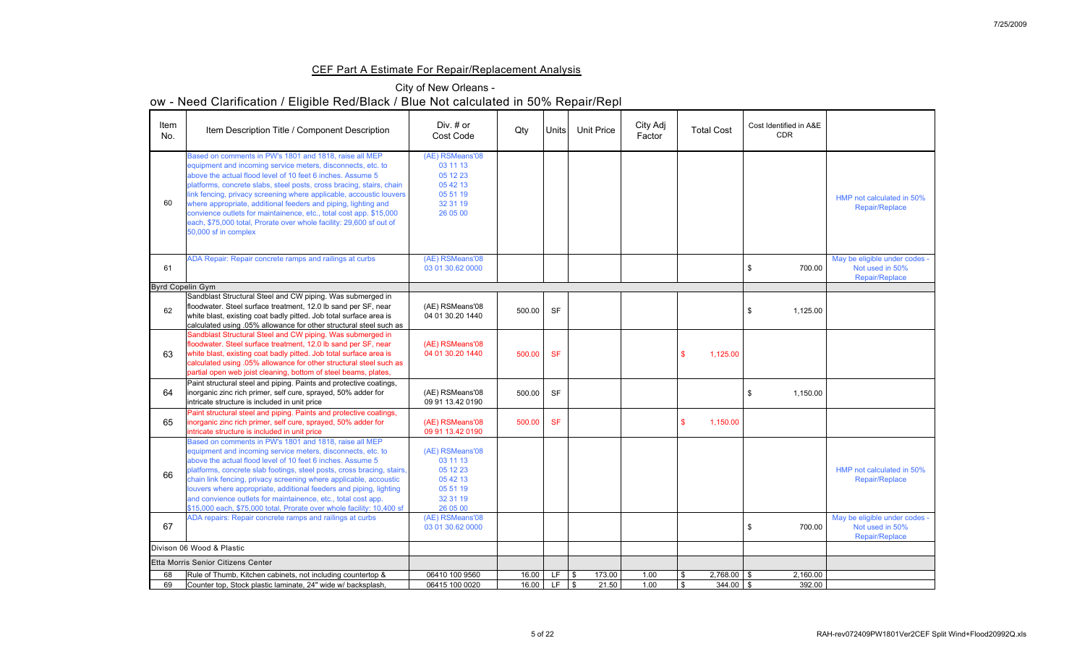## CEF Part A Estimate For Repair/Replacement Analysis

## City of New Orleans -

| Item<br>No.             | Item Description Title / Component Description                                                                                                                                                                                                                                                                                                                                                                                                                                                                                                                            | Div. # or<br><b>Cost Code</b>                                                           | Qty    | Units     | <b>Unit Price</b>                    | City Adj<br>Factor | <b>Total Cost</b> | Cost Identified in A&E<br><b>CDR</b> |                                                                           |
|-------------------------|---------------------------------------------------------------------------------------------------------------------------------------------------------------------------------------------------------------------------------------------------------------------------------------------------------------------------------------------------------------------------------------------------------------------------------------------------------------------------------------------------------------------------------------------------------------------------|-----------------------------------------------------------------------------------------|--------|-----------|--------------------------------------|--------------------|-------------------|--------------------------------------|---------------------------------------------------------------------------|
| 60                      | Based on comments in PW's 1801 and 1818, raise all MEP<br>equipment and incoming service meters, disconnects, etc. to<br>above the actual flood level of 10 feet 6 inches. Assume 5<br>platforms, concrete slabs, steel posts, cross bracing, stairs, chain<br>link fencing, privacy screening where applicable, accoustic louvers<br>where appropriate, additional feeders and piping, lighting and<br>convience outlets for maintainence, etc., total cost app. \$15,000<br>each, \$75,000 total, Prorate over whole facility: 29,600 sf out of<br>50,000 sf in complex | (AE) RSMeans'08<br>03 11 13<br>05 12 23<br>05 42 13<br>05 51 19<br>32 31 19<br>26 05 00 |        |           |                                      |                    |                   |                                      | HMP not calculated in 50%<br>Repair/Replace                               |
| 61                      | ADA Repair: Repair concrete ramps and railings at curbs                                                                                                                                                                                                                                                                                                                                                                                                                                                                                                                   | (AE) RSMeans'08<br>03 01 30.62 0000                                                     |        |           |                                      |                    |                   | 700.00                               | May be eligible under codes -<br>Not used in 50%<br><b>Repair/Replace</b> |
| <b>Byrd Copelin Gym</b> |                                                                                                                                                                                                                                                                                                                                                                                                                                                                                                                                                                           |                                                                                         |        |           |                                      |                    |                   |                                      |                                                                           |
| 62                      | Sandblast Structural Steel and CW piping. Was submerged in<br>floodwater. Steel surface treatment, 12.0 lb sand per SF, near<br>white blast, existing coat badly pitted. Job total surface area is<br>calculated using .05% allowance for other structural steel such as                                                                                                                                                                                                                                                                                                  | (AE) RSMeans'08<br>04 01 30.20 1440                                                     | 500.00 | <b>SF</b> |                                      |                    |                   | 1,125.00                             |                                                                           |
| 63                      | Sandblast Structural Steel and CW piping. Was submerged in<br>floodwater. Steel surface treatment, 12.0 lb sand per SF, near<br>white blast, existing coat badly pitted. Job total surface area is<br>calculated using .05% allowance for other structural steel such as<br>partial open web joist cleaning, bottom of steel beams, plates,                                                                                                                                                                                                                               | (AE) RSMeans'08<br>04 01 30.20 1440                                                     | 500.00 | <b>SF</b> |                                      |                    | 1,125.00          |                                      |                                                                           |
| 64                      | Paint structural steel and piping. Paints and protective coatings,<br>inorganic zinc rich primer, self cure, sprayed, 50% adder for<br>intricate structure is included in unit price                                                                                                                                                                                                                                                                                                                                                                                      | (AE) RSMeans'08<br>09 91 13.42 0190                                                     | 500.00 | <b>SF</b> |                                      |                    |                   | 1,150.00                             |                                                                           |
| 65                      | Paint structural steel and piping. Paints and protective coatings,<br>inorganic zinc rich primer, self cure, sprayed, 50% adder for<br>intricate structure is included in unit price                                                                                                                                                                                                                                                                                                                                                                                      | (AE) RSMeans'08<br>09 91 13.42 0190                                                     | 500.00 | <b>SF</b> |                                      |                    | 1,150.00          |                                      |                                                                           |
| 66                      | Based on comments in PW's 1801 and 1818, raise all MEP<br>equipment and incoming service meters, disconnects, etc. to<br>above the actual flood level of 10 feet 6 inches. Assume 5<br>platforms, concrete slab footings, steel posts, cross bracing, stairs,<br>chain link fencing, privacy screening where applicable, accoustic<br>louvers where appropriate, additional feeders and piping, lighting<br>and convience outlets for maintainence, etc., total cost app.<br>\$15,000 each, \$75,000 total, Prorate over whole facility: 10,400 sf                        | (AE) RSMeans'08<br>03 11 13<br>05 12 23<br>05 42 13<br>05 51 19<br>32 31 19<br>26 05 00 |        |           |                                      |                    |                   |                                      | HMP not calculated in 50%<br><b>Repair/Replace</b>                        |
| 67                      | ADA repairs: Repair concrete ramps and railings at curbs                                                                                                                                                                                                                                                                                                                                                                                                                                                                                                                  | (AE) RSMeans'08<br>03 01 30.62 0000                                                     |        |           |                                      |                    |                   | 700.00                               | May be eligible under codes -<br>Not used in 50%<br><b>Repair/Replace</b> |
|                         | Divison 06 Wood & Plastic                                                                                                                                                                                                                                                                                                                                                                                                                                                                                                                                                 |                                                                                         |        |           |                                      |                    |                   |                                      |                                                                           |
|                         | <b>Etta Morris Senior Citizens Center</b>                                                                                                                                                                                                                                                                                                                                                                                                                                                                                                                                 |                                                                                         |        |           |                                      |                    |                   |                                      |                                                                           |
| 68                      | Rule of Thumb, Kitchen cabinets, not including countertop &                                                                                                                                                                                                                                                                                                                                                                                                                                                                                                               | 06410 100 9560                                                                          | 16.00  | LF        | 173.00<br>$\boldsymbol{\mathcal{S}}$ | 1.00               | $2,768.00$ \$     | 2,160.00                             |                                                                           |
| 69                      | Counter top, Stock plastic laminate, 24" wide w/ backsplash,                                                                                                                                                                                                                                                                                                                                                                                                                                                                                                              | 06415 100 0020                                                                          | 16.00  | LF        | $\boldsymbol{\mathcal{S}}$<br>21.50  | 1.00               | $344.00$ \ \$     | 392.00                               |                                                                           |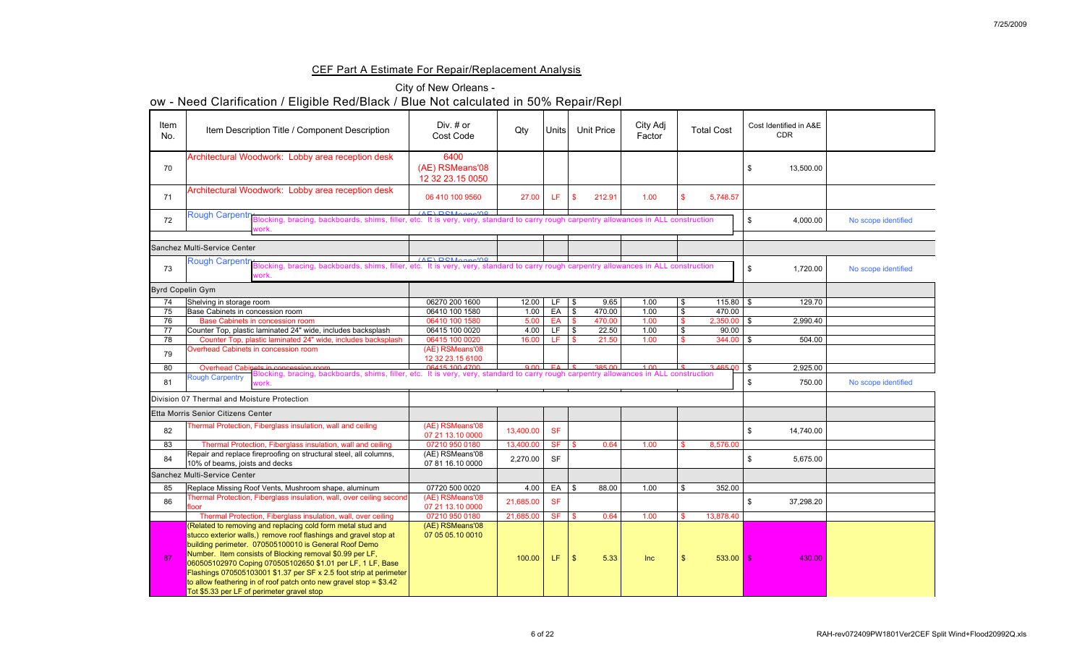## CEF Part A Estimate For Repair/Replacement Analysis

|                         | ow - Need Clarification / Eligible Red/Black / Blue Not calculated in 50% Repair/Repl                                                                                                                                                                                                                                                                                                                                                                           |                                             |              |                    |               |                   |                    |    |                   |    |                                      |                     |
|-------------------------|-----------------------------------------------------------------------------------------------------------------------------------------------------------------------------------------------------------------------------------------------------------------------------------------------------------------------------------------------------------------------------------------------------------------------------------------------------------------|---------------------------------------------|--------------|--------------------|---------------|-------------------|--------------------|----|-------------------|----|--------------------------------------|---------------------|
| Item<br>No.             | Item Description Title / Component Description                                                                                                                                                                                                                                                                                                                                                                                                                  | Div. $#$ or<br><b>Cost Code</b>             | Qty          | Units <sup> </sup> |               | <b>Unit Price</b> | City Adj<br>Factor |    | <b>Total Cost</b> |    | Cost Identified in A&E<br><b>CDR</b> |                     |
| 70                      | Architectural Woodwork: Lobby area reception desk                                                                                                                                                                                                                                                                                                                                                                                                               | 6400<br>(AE) RSMeans'08<br>12 32 23.15 0050 |              |                    |               |                   |                    |    |                   | S  | 13,500.00                            |                     |
| 71                      | Architectural Woodwork: Lobby area reception desk                                                                                                                                                                                                                                                                                                                                                                                                               | 06 410 100 9560                             | 27.00        | LF                 | $\mathbf{\$}$ | 212.91            | 1.00               |    | 5,748.57          |    |                                      |                     |
| 72                      | Rough Carpentry Blocking, bracing, backboards, shims, filler, etc. It is very, very, standard to carry rough carpentry allowances in ALL construction<br>vork.                                                                                                                                                                                                                                                                                                  |                                             |              |                    |               |                   |                    |    |                   |    | 4,000.00                             | No scope identified |
|                         | <b>Sanchez Multi-Service Center</b>                                                                                                                                                                                                                                                                                                                                                                                                                             |                                             |              |                    |               |                   |                    |    |                   |    |                                      |                     |
| 73                      | Rough Carpentry Blocking, bracing, backboards, shims, filler, etc. It is very, very, standard to carry rough carpentry allowances in ALL construction<br>work.                                                                                                                                                                                                                                                                                                  | (AE) DCMoone100                             |              |                    |               |                   |                    |    |                   | \$ | 1,720.00                             | No scope identified |
| <b>Byrd Copelin Gym</b> |                                                                                                                                                                                                                                                                                                                                                                                                                                                                 |                                             |              |                    |               |                   |                    |    |                   |    |                                      |                     |
| 74                      | Shelving in storage room                                                                                                                                                                                                                                                                                                                                                                                                                                        | 06270 200 1600                              | 12.00        | LF .               | $\sqrt{3}$    | 9.65              | 1.00               | \$ | $115.80$   \$     |    | 129.70                               |                     |
| 75                      | Base Cabinets in concession room                                                                                                                                                                                                                                                                                                                                                                                                                                | 06410 100 1580                              | 1.00         | EA                 | $\frac{1}{3}$ | 470.00            | 1.00               |    | 470.00            |    |                                      |                     |
| 76                      | <b>Base Cabinets in concession room</b>                                                                                                                                                                                                                                                                                                                                                                                                                         | 06410 100 1580                              | 5.00         | EA                 |               | 470.00            | 1.00               |    | 2,350.00          |    | 2,990.40                             |                     |
| 77                      | Counter Top, plastic laminated 24" wide, includes backsplash                                                                                                                                                                                                                                                                                                                                                                                                    | 06415 100 0020                              | 4.00         | LF                 | $\vert$ \$    | 22.50             | 1.00               |    | 90.00             |    |                                      |                     |
| 78                      | Counter Top, plastic laminated 24" wide, includes backsplash                                                                                                                                                                                                                                                                                                                                                                                                    | 06415 100 0020                              | 16.00        | LF.                | $\vert$ \$    | 21.50             | 1.00               |    | $344.00$ \$       |    | 504.00                               |                     |
| 79                      | Overhead Cabinets in concession room                                                                                                                                                                                                                                                                                                                                                                                                                            | (AE) RSMeans'08<br>12 32 23.15 6100         |              |                    |               |                   |                    |    |                   |    |                                      |                     |
| 80                      | Overhead Cabinets in concession room<br>The Carpontry Blocking, bracing, backboards, shims, filler, etc. It is very, very, standard to carry rough carpentry allowances in ALL construction                                                                                                                                                                                                                                                                     |                                             | $Q$ $\Omega$ | $F_A$ $\downarrow$ |               | 385.00            |                    |    | 3.465.00          |    | 2,925.00                             |                     |
| 81                      | <b>Rough Carpentry</b><br>vork                                                                                                                                                                                                                                                                                                                                                                                                                                  |                                             |              |                    |               |                   |                    |    |                   |    | 750.00                               | No scope identified |
|                         | Division 07 Thermal and Moisture Protection                                                                                                                                                                                                                                                                                                                                                                                                                     |                                             |              |                    |               |                   |                    |    |                   |    |                                      |                     |
|                         | <b>Etta Morris Senior Citizens Center</b>                                                                                                                                                                                                                                                                                                                                                                                                                       |                                             |              |                    |               |                   |                    |    |                   |    |                                      |                     |
| 82                      | Thermal Protection, Fiberglass insulation, wall and ceiling                                                                                                                                                                                                                                                                                                                                                                                                     | (AE) RSMeans'08<br>07 21 13.10 0000         | 13,400.00    | <b>SF</b>          |               |                   |                    |    |                   |    | 14,740.00                            |                     |
| 83                      | Thermal Protection, Fiberglass insulation, wall and ceiling                                                                                                                                                                                                                                                                                                                                                                                                     | 07210 950 0180                              | 13,400.00    | <b>SF</b>          | $\sqrt{3}$    | 0.64              | 1.00               |    | 8,576.00          |    |                                      |                     |
| 84                      | Repair and replace fireproofing on structural steel, all columns,<br>10% of beams, joists and decks                                                                                                                                                                                                                                                                                                                                                             | (AE) RSMeans'08<br>07 81 16.10 0000         | 2,270.00     | <b>SF</b>          |               |                   |                    |    |                   |    | 5,675.00                             |                     |
|                         | <b>Sanchez Multi-Service Center</b>                                                                                                                                                                                                                                                                                                                                                                                                                             |                                             |              |                    |               |                   |                    |    |                   |    |                                      |                     |
| 85                      | Replace Missing Roof Vents, Mushroom shape, aluminum                                                                                                                                                                                                                                                                                                                                                                                                            | 07720 500 0020                              | 4.00         | EA                 | l \$          | 88.00             | 1.00               |    | 352.00            |    |                                      |                     |
| 86                      | Thermal Protection, Fiberglass insulation, wall, over ceiling second<br><b>floor</b>                                                                                                                                                                                                                                                                                                                                                                            | (AE) RSMeans'08<br>07 21 13.10 0000         | 21,685.00    | <b>SF</b>          |               |                   |                    |    |                   |    | 37,298.20                            |                     |
|                         | Thermal Protection, Fiberglass insulation, wall, over ceiling                                                                                                                                                                                                                                                                                                                                                                                                   | 07210 950 0180                              | 21,685.00    | <b>SF</b>          | 15            | 0.64              | 1.00               |    | 13,878.40         |    |                                      |                     |
| 87                      | (Related to removing and replacing cold form metal stud and<br>stucco exterior walls,) remove roof flashings and gravel stop at<br>building perimeter. 070505100010 is General Roof Demo<br>Number. Item consists of Blocking removal \$0.99 per LF,<br>060505102970 Coping 070505102650 \$1.01 per LF, 1 LF, Base<br>Flashings 070505103001 \$1.37 per SF x 2.5 foot strip at perimeter<br>to allow feathering in of roof patch onto new gravel stop = $$3.42$ | (AE) RSMeans'08<br>07 05 05.10 0010         | 100.00       | LF.                | $\mathcal{S}$ | 5.33              | Inc                |    | $533.00$ \$       |    | 430.00                               |                     |
|                         | Tot \$5.33 per LF of perimeter gravel stop                                                                                                                                                                                                                                                                                                                                                                                                                      |                                             |              |                    |               |                   |                    |    |                   |    |                                      |                     |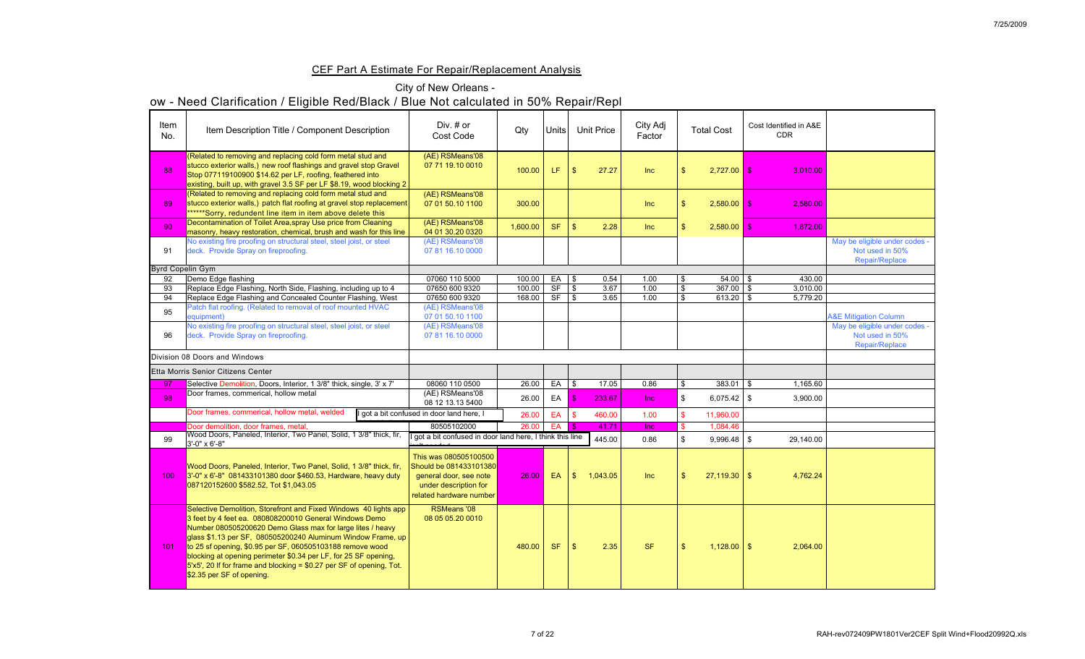## CEF Part A Estimate For Repair/Replacement Analysis

## City of New Orleans -

| Item<br>No.             | Item Description Title / Component Description                                                                                                                                                                                                                                                                                                                                                                                                                                                                     | Div. # or<br>Cost Code                                                                                                        | Qty      | <b>Units</b> |                            | <b>Unit Price</b> | City Adj<br>Factor |                | <b>Total Cost</b> | Cost Identified in A&E<br><b>CDR</b> |                                                                    |
|-------------------------|--------------------------------------------------------------------------------------------------------------------------------------------------------------------------------------------------------------------------------------------------------------------------------------------------------------------------------------------------------------------------------------------------------------------------------------------------------------------------------------------------------------------|-------------------------------------------------------------------------------------------------------------------------------|----------|--------------|----------------------------|-------------------|--------------------|----------------|-------------------|--------------------------------------|--------------------------------------------------------------------|
| 88                      | (Related to removing and replacing cold form metal stud and<br>stucco exterior walls,) new roof flashings and gravel stop Gravel<br>Stop 077119100900 \$14.62 per LF, roofing, feathered into<br>existing, built up, with gravel 3.5 SF per LF \$8.19, wood blocking $2 \mid$                                                                                                                                                                                                                                      | (AE) RSMeans'08<br>07 71 19.10 0010                                                                                           | 100.00   | LF           | $\mathcal{S}$              | 27.27             | <b>Inc</b>         |                | 2,727.00          | 3,010.00<br>- \$                     |                                                                    |
| 89                      | (Related to removing and replacing cold form metal stud and<br>stucco exterior walls,) patch flat roofing at gravel stop replacement<br>******Sorry, redundent line item in item above delete this                                                                                                                                                                                                                                                                                                                 | (AE) RSMeans'08<br>07 01 50.10 1100                                                                                           | 300.00   |              |                            |                   | Inc                |                | 2,580.00          | 2,580.00<br>$\mathbb{S}$             |                                                                    |
| 90                      | Decontamination of Toilet Area, spray Use price from Cleaning<br>masonry, heavy restoration, chemical, brush and wash for this line                                                                                                                                                                                                                                                                                                                                                                                | (AE) RSMeans'08<br>04 01 30.20 0320                                                                                           | 1,600.00 | <b>SF</b>    | $\sqrt[6]{\frac{1}{2}}$    | 2.28              | <b>Inc</b>         |                | 2,580.00          | 1,872.00<br>-5                       |                                                                    |
| 91                      | No existing fire proofing on structural steel, steel joist, or steel<br>deck. Provide Spray on fireproofing.                                                                                                                                                                                                                                                                                                                                                                                                       | (AE) RSMeans'08<br>07 81 16.10 0000                                                                                           |          |              |                            |                   |                    |                |                   |                                      | May be eligible under codes -<br>Not used in 50%<br>Repair/Replace |
| <b>Byrd Copelin Gym</b> |                                                                                                                                                                                                                                                                                                                                                                                                                                                                                                                    |                                                                                                                               |          |              |                            |                   |                    |                |                   |                                      |                                                                    |
| 92                      | Demo Edge flashing                                                                                                                                                                                                                                                                                                                                                                                                                                                                                                 | 07060 110 5000                                                                                                                | 100.00   | EA           | $\vert$ \$                 | 0.54              | 1.00               | $\mathfrak{F}$ | $54.00$ \ \ \$    | 430.00                               |                                                                    |
| 93                      | Replace Edge Flashing, North Side, Flashing, including up to 4                                                                                                                                                                                                                                                                                                                                                                                                                                                     | 07650 600 9320                                                                                                                | 100.00   | <b>SF</b>    | $\sqrt{3}$                 | 3.67              | 1.00               | -\$            | $367.00$ \ \$     | 3,010.00                             |                                                                    |
| 94                      | Replace Edge Flashing and Concealed Counter Flashing, West                                                                                                                                                                                                                                                                                                                                                                                                                                                         | 07650 600 9320                                                                                                                | 168.00   | <b>SF</b>    | $\boldsymbol{\mathcal{S}}$ | 3.65              | 1.00               |                | 613.20            | 5,779.20                             |                                                                    |
| 95                      | Patch flat roofing. (Related to removal of roof mounted HVAC<br>equipment)                                                                                                                                                                                                                                                                                                                                                                                                                                         | (AE) RSMeans'08<br>07 01 50.10 1100                                                                                           |          |              |                            |                   |                    |                |                   |                                      | <b>A&amp;E Mitigation Column</b>                                   |
|                         | No existing fire proofing on structural steel, steel joist, or steel                                                                                                                                                                                                                                                                                                                                                                                                                                               | (AE) RSMeans'08                                                                                                               |          |              |                            |                   |                    |                |                   |                                      | May be eligible under codes -                                      |
| 96                      | deck. Provide Spray on fireproofing.                                                                                                                                                                                                                                                                                                                                                                                                                                                                               | 07 81 16.10 0000                                                                                                              |          |              |                            |                   |                    |                |                   |                                      | Not used in 50%                                                    |
|                         |                                                                                                                                                                                                                                                                                                                                                                                                                                                                                                                    |                                                                                                                               |          |              |                            |                   |                    |                |                   |                                      | <b>Repair/Replace</b>                                              |
|                         | Division 08 Doors and Windows                                                                                                                                                                                                                                                                                                                                                                                                                                                                                      |                                                                                                                               |          |              |                            |                   |                    |                |                   |                                      |                                                                    |
|                         | Etta Morris Senior Citizens Center                                                                                                                                                                                                                                                                                                                                                                                                                                                                                 |                                                                                                                               |          |              |                            |                   |                    |                |                   |                                      |                                                                    |
| 97                      | Selective Demolition, Doors, Interior, 1 3/8" thick, single, 3' x 7'                                                                                                                                                                                                                                                                                                                                                                                                                                               | 08060 110 0500                                                                                                                | 26.00    | EA           | $\sqrt{S}$                 | 17.05             | 0.86               |                |                   | 1,165.60                             |                                                                    |
| 98                      | Door frames, commerical, hollow metal                                                                                                                                                                                                                                                                                                                                                                                                                                                                              | (AE) RSMeans'08<br>08 12 13.13 5400                                                                                           | 26.00    | EA           | $\mathcal{S}$              | 233.67            | <b>Inc</b>         | $\mathbb{S}$   | $6,075.42$ \$     | 3,900.00                             |                                                                    |
|                         | Door frames, commerical, hollow metal, welded                                                                                                                                                                                                                                                                                                                                                                                                                                                                      | I got a bit confused in door land here, I                                                                                     | 26.00    | EA           |                            | 460.00            | 1.00               |                | 11,960.00         |                                      |                                                                    |
|                         | Door demolition, door frames, metal,                                                                                                                                                                                                                                                                                                                                                                                                                                                                               | 80505102000                                                                                                                   | 26.00 EA |              | - \$                       | 41.71             | <b>Inc</b>         |                | 1,084.46          |                                      |                                                                    |
| 99                      | Wood Doors, Paneled, Interior, Two Panel, Solid, 1 3/8" thick, fir,<br>$3' - 0'' \times 6' - 8''$                                                                                                                                                                                                                                                                                                                                                                                                                  | got a bit confused in door land here, I think this line                                                                       |          |              |                            | 445.00            | 0.86               |                | $9,996.48$ \$     | 29,140.00                            |                                                                    |
| 100 <sub>1</sub>        | Wood Doors, Paneled, Interior, Two Panel, Solid, 1 3/8" thick, fir,<br>$3'$ -0" x 6'-8" 081433101380 door \$460.53, Hardware, heavy duty<br>087120152600 \$582.52, Tot \$1,043.05                                                                                                                                                                                                                                                                                                                                  | This was 080505100500<br>Should be 081433101380<br>general door, see note<br>under description for<br>related hardware number | 26.00    | EA           | $\sqrt[6]{\frac{1}{2}}$    | 1,043.05          | <b>Inc</b>         |                | $27,119.30$ \$    | 4,762.24                             |                                                                    |
| 101                     | Selective Demolition, Storefront and Fixed Windows 40 lights app<br>3 feet by 4 feet ea. 080808200010 General Windows Demo<br>Number 080505200620 Demo Glass max for large lites / heavy<br>glass \$1.13 per SF, 080505200240 Aluminum Window Frame, up<br>to 25 sf opening, \$0.95 per SF, 060505103188 remove wood<br>blocking at opening perimeter \$0.34 per LF, for 25 SF opening,<br>$\vert$ 5'x5', 20 If for frame and blocking = \$0.27 per SF of opening, Tot.<br>$\frac{1}{2}$ \$2.35 per SF of opening. | <b>RSMeans '08</b><br>08 05 05.20 0010                                                                                        | 480.00   | <b>SF</b>    | $\mathcal{S}$              | 2.35              | <b>SF</b>          | $\mathcal{S}$  | $1,128.00$   \$   | 2,064.00                             |                                                                    |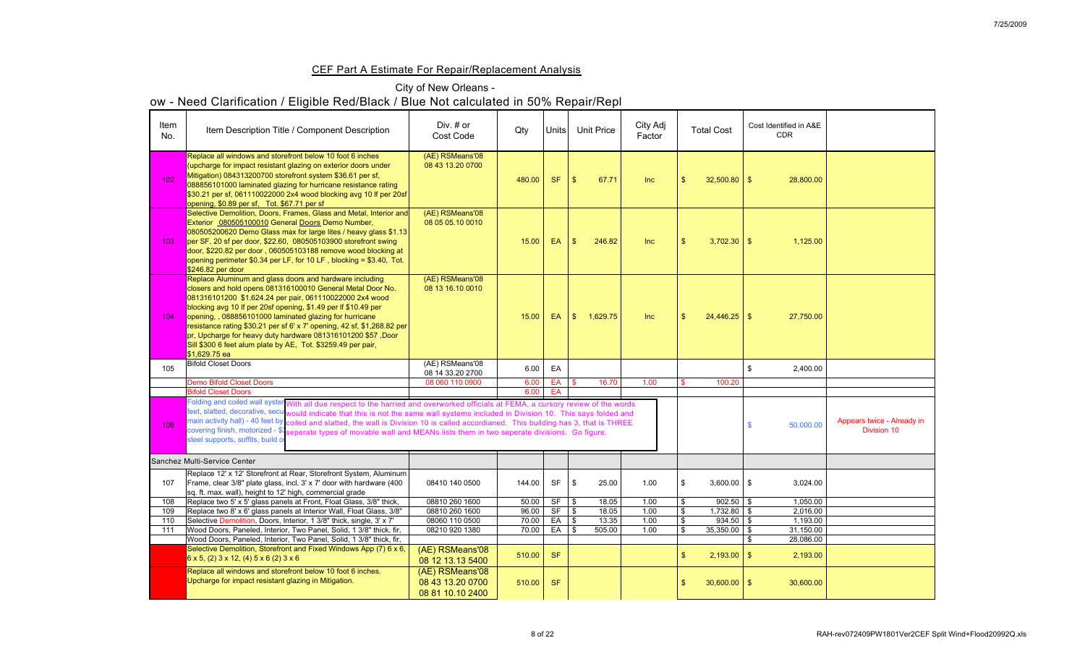## CEF Part A Estimate For Repair/Replacement Analysis

## City of New Orleans -

| Item<br>No. | Item Description Title / Component Description                                                                                                                                                                                                                                                                                                                                                                                                                                                                                                                                         | Div. # or<br><b>Cost Code</b>                           | Qty    | Units     |                | <b>Unit Price</b> | City Adj<br>Factor | <b>Total Cost</b> | Cost Identified in A&E<br><b>CDR</b> |                                                  |
|-------------|----------------------------------------------------------------------------------------------------------------------------------------------------------------------------------------------------------------------------------------------------------------------------------------------------------------------------------------------------------------------------------------------------------------------------------------------------------------------------------------------------------------------------------------------------------------------------------------|---------------------------------------------------------|--------|-----------|----------------|-------------------|--------------------|-------------------|--------------------------------------|--------------------------------------------------|
| 102         | Replace all windows and storefront below 10 foot 6 inches<br>(upcharge for impact resistant glazing on exterior doors under<br>Mitigation) 084313200700 storefront system \$36.61 per sf,<br>088856101000 laminated glazing for hurricane resistance rating<br>\$30.21 per sf, 061110022000 2x4 wood blocking avg 10 If per 20sf<br>opening, \$0.89 per sf, Tot. \$67.71 per sf                                                                                                                                                                                                        | (AE) RSMeans'08<br>08 43 13.20 0700                     | 480.00 | <b>SF</b> | $\mathfrak{L}$ | 67.71             | Inc                | $32,500.80$ \ \$  | 28,800.00                            |                                                  |
| 103         | Selective Demolition, Doors, Frames, Glass and Metal, Interior and<br>Exterior 080505100010 General Doors Demo Number,<br>080505200620 Demo Glass max for large lites / heavy glass \$1.13<br>per SF, 20 sf per door, \$22.60, 080505103900 storefront swing<br>door, \$220.82 per door, 060505103188 remove wood blocking at<br>opening perimeter $$0.34$ per LF, for 10 LF, blocking = $$3.40$ , Tot.<br>\$246.82 per door                                                                                                                                                           | (AE) RSMeans'08<br>08 05 05.10 0010                     | 15.00  | EA        | $\mathbb{S}$   | 246.82            | Inc                | $3,702.30$ \$     | 1,125.00                             |                                                  |
| 104         | Replace Aluminum and glass doors and hardware including<br>closers and hold opens 081316100010 General Metal Door No.<br>081316101200 \$1,624.24 per pair, 061110022000 2x4 wood<br>blocking avg 10 If per 20sf opening, \$1.49 per If \$10.49 per<br>opening,, 088856101000 laminated glazing for hurricane<br>resistance rating \$30.21 per sf 6' x 7' opening, 42 sf, \$1,268.82 per<br>pr, Upcharge for heavy duty hardware 081316101200 \$57, Door<br>Sill \$300 6 feet alum plate by AE, Tot. \$3259.49 per pair,<br>$$1,629.75$ ea                                              | (AE) RSMeans'08<br>08 13 16.10 0010                     | 15.00  | EA        | $\mathcal{S}$  | 1,629.75          | Inc                |                   | 27,750.00                            |                                                  |
| 105         | <b>Bifold Closet Doors</b>                                                                                                                                                                                                                                                                                                                                                                                                                                                                                                                                                             | (AE) RSMeans'08<br>08 14 33.20 2700                     | 6.00   | EA        |                |                   |                    |                   | 2,400.00                             |                                                  |
|             | <b>Demo Bifold Closet Doors</b>                                                                                                                                                                                                                                                                                                                                                                                                                                                                                                                                                        | 08 060 110 0900                                         | 6.00   | EA        |                | 16.70             | 1.00               | 100.20            |                                      |                                                  |
|             | <b>Bifold Closet Doors</b>                                                                                                                                                                                                                                                                                                                                                                                                                                                                                                                                                             |                                                         | 6.00   | EA        |                |                   |                    |                   |                                      |                                                  |
| 106         | Folding and coiled wall system With all due respect to the harried and overworked officials at FEMA, a cursory review of the words<br>feet, slatted, decorative, secu would indicate that this is not the same wall systems included in Division 10. This says folded and<br>main activity hall) - 40 feet by coiled and slatted, the wall is Division 10 is called accordianed. This building has 3, that is THREE<br>covering finish, motorized - \$1 seperate types of movable wall and MEANs lists them in two seperate divisions. Go figure.<br>steel supports, soffits, build of |                                                         |        |           |                |                   |                    |                   | 50,000.00                            | Appears twice - Already in<br><b>Division 10</b> |
|             | Sanchez Multi-Service Center                                                                                                                                                                                                                                                                                                                                                                                                                                                                                                                                                           |                                                         |        |           |                |                   |                    |                   |                                      |                                                  |
| 107         | Replace 12' x 12' Storefront at Rear, Storefront System, Aluminum<br>Frame, clear 3/8" plate glass, incl. 3' x 7' door with hardware (400<br>sq. ft. max. wall), height to 12' high, commercial grade                                                                                                                                                                                                                                                                                                                                                                                  | 08410 140 0500                                          | 144.00 | <b>SF</b> | $\mathbb{S}$   | 25.00             | 1.00               | $3,600.00$   \$   | 3,024.00                             |                                                  |
| 108         | Replace two 5' x 5' glass panels at Front, Float Glass, 3/8" thick,                                                                                                                                                                                                                                                                                                                                                                                                                                                                                                                    | 08810 260 1600                                          | 50.00  | <b>SF</b> | $\frac{1}{3}$  | 18.05             | 1.00               | $902.50$ \$       | 1,050.00                             |                                                  |
| 109         | Replace two 8' x 6' glass panels at Interior Wall, Float Glass, 3/8"                                                                                                                                                                                                                                                                                                                                                                                                                                                                                                                   | 08810 260 1600                                          | 96.00  | <b>SF</b> | $\mathfrak{S}$ | 18.05             | 1.00               | $1,732.80$ \$     | 2,016.00                             |                                                  |
| 110         | Selective Demolition, Doors, Interior, 1 3/8" thick, single, 3' x 7'                                                                                                                                                                                                                                                                                                                                                                                                                                                                                                                   | 08060 110 0500                                          | 70.00  | EA        | $\sqrt{S}$     | 13.35             | 1.00               | $934.50$ \ \$     | 1,193.00                             |                                                  |
| 111         | Wood Doors, Paneled, Interior, Two Panel, Solid, 1 3/8" thick, fir,                                                                                                                                                                                                                                                                                                                                                                                                                                                                                                                    | 08210 920 1380                                          | 70.00  | EA        | $\sqrt{3}$     | 505.00            | 1.00               | $35,350.00$   \$  | 31,150.00                            |                                                  |
|             | Wood Doors, Paneled, Interior, Two Panel, Solid, 1 3/8" thick, fir,<br>Selective Demolition, Storefront and Fixed Windows App (7) 6 x 6,<br>$6 \times 5$ , (2) 3 x 12, (4) 5 x 6 (2) 3 x 6                                                                                                                                                                                                                                                                                                                                                                                             | (AE) RSMeans'08<br>08 12 13.13 5400                     | 510.00 | <b>SF</b> |                |                   |                    | $2,193.00$ \$     | 28,086.00<br>2,193.00                |                                                  |
|             | Replace all windows and storefront below 10 foot 6 inches.<br>Upcharge for impact resistant glazing in Mitigation.                                                                                                                                                                                                                                                                                                                                                                                                                                                                     | (AE) RSMeans'08<br>08 43 13.20 0700<br>08 81 10.10 2400 | 510.00 | <b>SF</b> |                |                   |                    | $30,600.00$ \$    | 30,600.00                            |                                                  |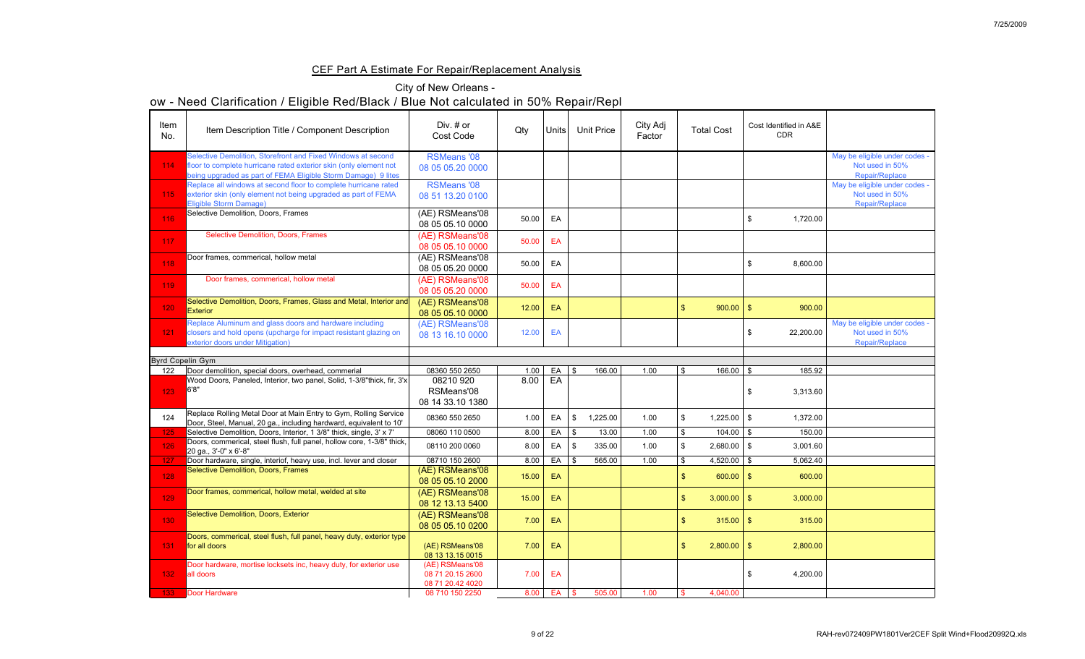## CEF Part A Estimate For Repair/Replacement Analysis

| Item<br>No. | Item Description Title / Component Description                                                                                                                                                     | Div. $#$ or<br><b>Cost Code</b>                         | Qty           | Units    | <b>Unit Price</b> | City Adj<br>Factor | <b>Total Cost</b>                   | Cost Identified in A&E<br><b>CDR</b> |                                                                           |
|-------------|----------------------------------------------------------------------------------------------------------------------------------------------------------------------------------------------------|---------------------------------------------------------|---------------|----------|-------------------|--------------------|-------------------------------------|--------------------------------------|---------------------------------------------------------------------------|
| 114         | Selective Demolition, Storefront and Fixed Windows at second<br>floor to complete hurricane rated exterior skin (only element not<br>being upgraded as part of FEMA Eligible Storm Damage) 9 lites | <b>RSMeans '08</b><br>08 05 05.20 0000                  |               |          |                   |                    |                                     |                                      | May be eligible under codes -<br>Not used in 50%<br><b>Repair/Replace</b> |
| 115         | Replace all windows at second floor to complete hurricane rated<br>exterior skin (only element not being upgraded as part of FEMA<br>Eligible Storm Damage)                                        | <b>RSMeans '08</b><br>08 51 13.20 0100                  |               |          |                   |                    |                                     |                                      | May be eligible under codes -<br>Not used in 50%<br><b>Repair/Replace</b> |
| 116         | Selective Demolition, Doors, Frames                                                                                                                                                                | (AE) RSMeans'08<br>08 05 05.10 0000                     | 50.00         | EA       |                   |                    |                                     | 1,720.00                             |                                                                           |
| 117         | <b>Selective Demolition, Doors, Frames</b>                                                                                                                                                         | (AE) RSMeans'08<br>08 05 05.10 0000                     | 50.00         | EA       |                   |                    |                                     |                                      |                                                                           |
| 118         | Door frames, commerical, hollow metal                                                                                                                                                              | (AE) RSMeans'08<br>08 05 05.20 0000                     | 50.00         | EA       |                   |                    |                                     | 8,600.00                             |                                                                           |
| 119         | Door frames, commerical, hollow metal                                                                                                                                                              | (AE) RSMeans'08<br>08 05 05.20 0000                     | 50.00         | EA       |                   |                    |                                     |                                      |                                                                           |
| 120         | Selective Demolition, Doors, Frames, Glass and Metal, Interior and<br><b>Exterior</b>                                                                                                              | (AE) RSMeans'08<br>08 05 05.10 0000                     | 12.00         | EA       |                   |                    | $900.00$   \$                       | 900.00                               |                                                                           |
| 121         | Replace Aluminum and glass doors and hardware including<br>closers and hold opens (upcharge for impact resistant glazing on<br>exterior doors under Mitigation)                                    | (AE) RSMeans'08<br>08 13 16.10 0000                     |               | 12.00 EA |                   |                    |                                     | 22,200.00                            | May be eligible under codes -<br>Not used in 50%<br>Repair/Replace        |
|             | <b>Byrd Copelin Gym</b>                                                                                                                                                                            |                                                         |               |          |                   |                    |                                     |                                      |                                                                           |
| 122         | Door demolition, special doors, overhead, commerial                                                                                                                                                | 08360 550 2650                                          | 1.00          | EA       | 166.00<br>\$      | 1.00               | $166.00$ \$                         | 185.92                               |                                                                           |
| 123         | Wood Doors, Paneled, Interior, two panel, Solid, 1-3/8"thick, fir, 3'x<br>6'8"                                                                                                                     | 08210 920<br>RSMeans'08<br>08 14 33.10 1380             | 8.00          | EA       |                   |                    |                                     | 3,313.60                             |                                                                           |
| 124         | Replace Rolling Metal Door at Main Entry to Gym, Rolling Service<br>Door, Steel, Manual, 20 ga., including hardward, equivalent to 10'                                                             | 08360 550 2650                                          | 1.00          | EA       | 1,225.00<br>- \$  | 1.00               | $1,225.00$ \ \$                     | 1,372.00                             |                                                                           |
| 125         | Selective Demolition, Doors, Interior, 1 3/8" thick, single, 3' x 7'                                                                                                                               | 08060 110 0500                                          | 8.00          | EA       | 13.00<br>-\$      | 1.00               | 104.00                              | 150.00                               |                                                                           |
| 126         | Doors, commerical, steel flush, full panel, hollow core, 1-3/8" thick,<br>20 ga., 3'-0" x 6'-8"                                                                                                    | 08110 200 0060                                          | 8.00          | EA       | 335.00            | 1.00               | $2,680.00$   \$                     | 3,001.60                             |                                                                           |
| 127<br>128  | Door hardware, single, interiof, heavy use, incl. lever and closer<br><b>Selective Demolition, Doors, Frames</b>                                                                                   | 08710 150 2600<br>(AE) RSMeans'08<br>08 05 05.10 2000   | 8.00<br>15.00 | EA<br>EA | 565.00<br>-\$     | 1.00               | 4,520.00 $\mid$ \$<br>$600.00$   \$ | 5,062.40<br>600.00                   |                                                                           |
| 129         | Door frames, commerical, hollow metal, welded at site                                                                                                                                              | (AE) RSMeans'08<br>08 12 13.13 5400                     | 15.00         | EA       |                   |                    | $3,000.00$ \$                       | 3,000.00                             |                                                                           |
| 130         | <b>Selective Demolition, Doors, Exterior</b>                                                                                                                                                       | (AE) RSMeans'08<br>08 05 05.10 0200                     | 7.00          | EA       |                   |                    | $315.00$   \$                       | 315.00                               |                                                                           |
| 131         | Doors, commerical, steel flush, full panel, heavy duty, exterior type<br>for all doors                                                                                                             | (AE) RSMeans'08<br>08 13 13 15 0015                     | 7.00          | EA       |                   |                    | $2,800.00$ \$                       | 2,800.00                             |                                                                           |
|             |                                                                                                                                                                                                    |                                                         |               |          |                   |                    |                                     |                                      |                                                                           |
| 132         | Door hardware, mortise locksets inc, heavy duty, for exterior use<br>all doors                                                                                                                     | (AE) RSMeans'08<br>08 71 20.15 2600<br>08 71 20.42 4020 | 7.00          | EA       |                   |                    |                                     | 4,200.00                             |                                                                           |

| Item<br>No.                    | Item Description Title / Component Description                                                                                                                                                     | Div. $#$ or<br><b>Cost Code</b>                         | Qty   | Units      | <b>Unit Price</b> | City Adj<br>Factor | <b>Total Cost</b> |                 | Cost Identified in A&E<br><b>CDR</b> |                                                                           |
|--------------------------------|----------------------------------------------------------------------------------------------------------------------------------------------------------------------------------------------------|---------------------------------------------------------|-------|------------|-------------------|--------------------|-------------------|-----------------|--------------------------------------|---------------------------------------------------------------------------|
| 114                            | Selective Demolition, Storefront and Fixed Windows at second<br>floor to complete hurricane rated exterior skin (only element not<br>being upgraded as part of FEMA Eligible Storm Damage) 9 lites | <b>RSMeans '08</b><br>08 05 05.20 0000                  |       |            |                   |                    |                   |                 |                                      | May be eligible under codes -<br>Not used in 50%<br><b>Repair/Replace</b> |
| 115                            | Replace all windows at second floor to complete hurricane rated<br>exterior skin (only element not being upgraded as part of FEMA<br><b>Eligible Storm Damage)</b>                                 | <b>RSMeans '08</b><br>08 51 13.20 0100                  |       |            |                   |                    |                   |                 |                                      | May be eligible under codes -<br>Not used in 50%<br>Repair/Replace        |
| 116                            | Selective Demolition, Doors, Frames                                                                                                                                                                | (AE) RSMeans'08<br>08 05 05.10 0000                     | 50.00 | EA         |                   |                    |                   |                 | 1,720.00                             |                                                                           |
| 117 <sub>z</sub>               | <b>Selective Demolition, Doors, Frames</b>                                                                                                                                                         | (AE) RSMeans'08<br>08 05 05.10 0000                     | 50.00 | EA         |                   |                    |                   |                 |                                      |                                                                           |
| 118                            | Door frames, commerical, hollow metal                                                                                                                                                              | (AE) RSMeans'08<br>08 05 05.20 0000                     | 50.00 | EA         |                   |                    |                   |                 | 8,600.00                             |                                                                           |
| 119                            | Door frames, commerical, hollow metal                                                                                                                                                              | (AE) RSMeans'08<br>08 05 05.20 0000                     | 50.00 | EA         |                   |                    |                   |                 |                                      |                                                                           |
| 120                            | Selective Demolition, Doors, Frames, Glass and Metal, Interior and<br><b>Exterior</b>                                                                                                              | (AE) RSMeans'08<br>08 05 05.10 0000                     | 12.00 | EA         |                   |                    | $\mathcal{S}$     | $900.00$   \$   | 900.00                               |                                                                           |
| 121                            | Replace Aluminum and glass doors and hardware including<br>closers and hold opens (upcharge for impact resistant glazing on<br>exterior doors under Mitigation)                                    | (AE) RSMeans'08<br>08 13 16.10 0000                     | 12.00 | EA         |                   |                    |                   |                 | 22,200.00                            | May be eligible under codes -<br>Not used in 50%<br><b>Repair/Replace</b> |
|                                |                                                                                                                                                                                                    |                                                         |       |            |                   |                    |                   |                 |                                      |                                                                           |
| <b>Byrd Copelin Gym</b><br>122 | Door demolition, special doors, overhead, commerial                                                                                                                                                | 08360 550 2650                                          | 1.00  | EA         | 166.00<br>- \$    | 1.00               | - \$              | $166.00$ \$     | 185.92                               |                                                                           |
| 123                            | Wood Doors, Paneled, Interior, two panel, Solid, 1-3/8"thick, fir, 3'x  <br>6'8''                                                                                                                  | 08210 920<br>RSMeans'08<br>08 14 33.10 1380             | 8.00  | EA         |                   |                    |                   |                 | 3,313.60                             |                                                                           |
| 124                            | Replace Rolling Metal Door at Main Entry to Gym, Rolling Service<br>Door, Steel, Manual, 20 ga., including hardward, equivalent to 10'                                                             | 08360 550 2650                                          | 1.00  | EA         | 1,225.00          | 1.00               | - \$              | $1,225.00$   \$ | 1,372.00                             |                                                                           |
| 125                            | Selective Demolition, Doors, Interior, 1 3/8" thick, single, 3' x 7'                                                                                                                               | 08060 110 0500                                          | 8.00  | EA         | 13.00             | 1.00               |                   | $104.00$ \ \$   | 150.00                               |                                                                           |
| 126                            | Doors, commerical, steel flush, full panel, hollow core, 1-3/8" thick,<br>$20$ ga., $3'-0'' \times 6'-8''$                                                                                         | 08110 200 0060                                          | 8.00  | EA         | 335.00            | 1.00               |                   | $2,680.00$ \ \$ | 3,001.60                             |                                                                           |
| 127                            | Door hardware, single, interiof, heavy use, incl. lever and closer                                                                                                                                 | 08710 150 2600                                          | 8.00  | EA         | 565.00            | 1.00               |                   | $4,520.00$ \ \$ | 5,062.40                             |                                                                           |
| 128                            | <b>Selective Demolition, Doors, Frames</b>                                                                                                                                                         | (AE) RSMeans'08<br>08 05 05 10 2000                     | 15.00 | EA         |                   |                    |                   | $600.00$ \$     | 600.00                               |                                                                           |
| 129                            | Door frames, commerical, hollow metal, welded at site                                                                                                                                              | (AE) RSMeans'08<br>08 12 13.13 5400                     | 15.00 | EA         |                   |                    | $\sqrt[6]{3}$     | $3,000.00$ \ \$ | 3,000.00                             |                                                                           |
| 130                            | Selective Demolition, Doors, Exterior                                                                                                                                                              | (AE) RSMeans'08<br>08 05 05 10 0200                     | 7.00  | EA         |                   |                    | $\sqrt[6]{3}$     | $315.00$   \$   | 315.00                               |                                                                           |
| 131                            | Doors, commerical, steel flush, full panel, heavy duty, exterior type<br>for all doors                                                                                                             | (AE) RSMeans'08<br>08 13 13.15 0015                     | 7.00  | EA         |                   |                    | $\sqrt{3}$        | $2,800.00$ \$   | 2,800.00                             |                                                                           |
| 132                            | Door hardware, mortise locksets inc, heavy duty, for exterior use<br>all doors                                                                                                                     | (AE) RSMeans'08<br>08 71 20.15 2600<br>08 71 20.42 4020 | 7.00  | EA         |                   |                    |                   |                 | 4,200.00                             |                                                                           |
|                                | 133 Door Hardware                                                                                                                                                                                  | 08 710 150 2250                                         |       | 8.00 EA \$ | 505.00            | 1.00               | I Φ               | 4,040.00        |                                      |                                                                           |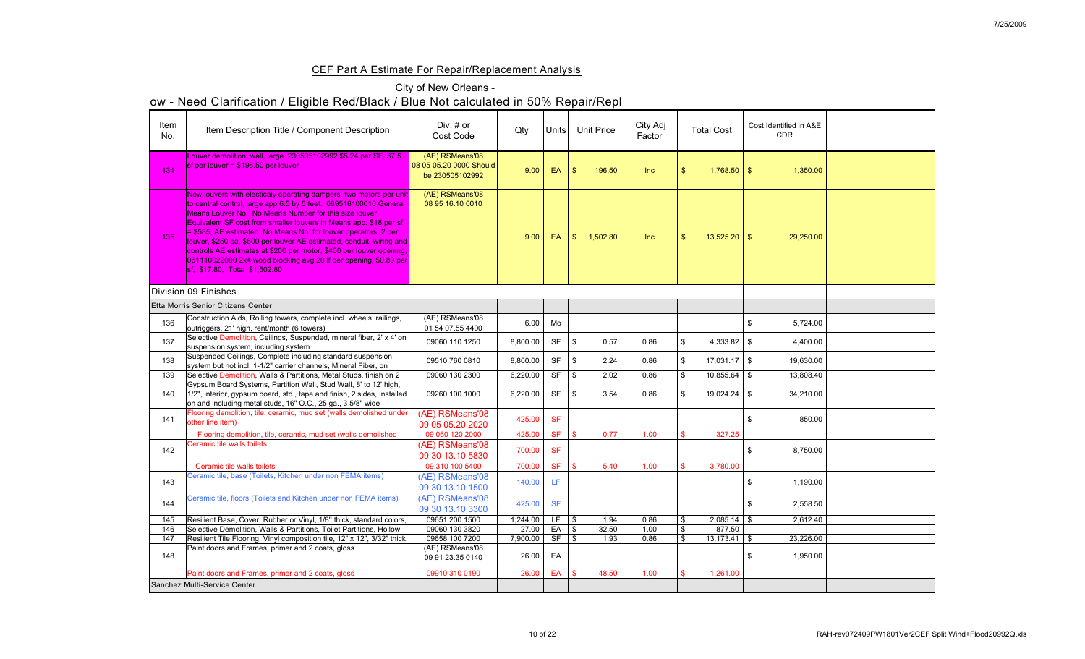## CEF Part A Estimate For Repair/Replacement Analysis

## City of New Orleans -

| Item<br>No.      | Item Description Title / Component Description                                                                                                                                                                                                                                                                                                                                                                                                                                                                                                                                                          | Div. # or<br><b>Cost Code</b>                                 | Qty      | <b>Units</b> |                | <b>Unit Price</b> | City Adj<br>Factor | <b>Total Cost</b>   | Cost Identified in A&E<br><b>CDR</b> |  |
|------------------|---------------------------------------------------------------------------------------------------------------------------------------------------------------------------------------------------------------------------------------------------------------------------------------------------------------------------------------------------------------------------------------------------------------------------------------------------------------------------------------------------------------------------------------------------------------------------------------------------------|---------------------------------------------------------------|----------|--------------|----------------|-------------------|--------------------|---------------------|--------------------------------------|--|
| 134              | ouver demolition, wall, large 230505102992 \$5.24 per SF, 37.5<br>$\frac{1}{1}$ sf per louver = \$196.50 per louver                                                                                                                                                                                                                                                                                                                                                                                                                                                                                     | (AE) RSMeans'08<br>08 05 05.20 0000 Should<br>be 230505102992 | 9.00     | EA           | $\sqrt{3}$     | 196.50            | <b>Inc</b>         | $1,768.50$ \$       | 1,350.00                             |  |
| 135 <sup>1</sup> | New louvers with electicaly operating dampers, two motors per unit<br>to central control, large app 6.5 by 5 feet. 089516100010 General<br>Means Louver No. No Means Number for this size louver.<br>Equivalent SF cost from smaller louvers in Means app. \$18 per sf<br>= \$585, AE estimated No Means No. for louver operators, 2 per<br>llouver, \$250 ea, \$500 per louver AE estimated, conduit, wiring and<br>controls AE estimates at \$200 per motor, \$400 per louver opening,<br>$[061110022000 2x4$ wood blocking avg 20 If per opening, \$0.89 per<br><b>Sf. \$17.80, Total \$1,502.80</b> | (AE) RSMeans'08<br>08 95 16.10 0010                           | 9.00     | EA           | $\mathcal{S}$  | 1,502.80          | Inc                | $13,525.20$ \$      | 29,250.00                            |  |
|                  | Division 09 Finishes                                                                                                                                                                                                                                                                                                                                                                                                                                                                                                                                                                                    |                                                               |          |              |                |                   |                    |                     |                                      |  |
|                  | Etta Morris Senior Citizens Center                                                                                                                                                                                                                                                                                                                                                                                                                                                                                                                                                                      |                                                               |          |              |                |                   |                    |                     |                                      |  |
| 136              | Construction Aids, Rolling towers, complete incl. wheels, railings,<br>outriggers, 21' high, rent/month (6 towers)                                                                                                                                                                                                                                                                                                                                                                                                                                                                                      | (AE) RSMeans'08<br>01 54 07.55 4400                           | 6.00     | Mo           |                |                   |                    |                     | 5,724.00                             |  |
| 137              | Selective Demolition, Ceilings, Suspended, mineral fiber, 2' x 4' on<br>suspension system, including system                                                                                                                                                                                                                                                                                                                                                                                                                                                                                             | 09060 110 1250                                                | 8,800.00 | <b>SF</b>    | \$             | 0.57              | 0.86               | 4,333.82            | 4,400.00<br>- \$                     |  |
| 138              | Suspended Ceilings, Complete including standard suspension<br>system but not incl. 1-1/2" carrier channels, Mineral Fiber, on                                                                                                                                                                                                                                                                                                                                                                                                                                                                           | 09510 760 0810                                                | 8,800.00 | <b>SF</b>    | \$             | 2.24              | 0.86               | $17,031.17$ $\sqrt$ | 19,630.00                            |  |
| 139              | Selective Demolition, Walls & Partitions, Metal Studs, finish on 2                                                                                                                                                                                                                                                                                                                                                                                                                                                                                                                                      | 09060 130 2300                                                | 6,220.00 | <b>SF</b>    | $\vert$ \$     | 2.02              | 0.86               | 10,855.64           | 13,808.40                            |  |
| 140              | Gypsum Board Systems, Partition Wall, Stud Wall, 8' to 12' high,<br>1/2", interior, gypsum board, std., tape and finish, 2 sides, Installed  <br>on and including metal studs, 16" O.C., 25 ga., 3 5/8" wide                                                                                                                                                                                                                                                                                                                                                                                            | 09260 100 1000                                                | 6,220.00 | <b>SF</b>    | $\mathfrak{F}$ | 3.54              | 0.86               | $19,024.24$ \$      | 34,210.00                            |  |
| 141              | Flooring demolition, tile, ceramic, mud set (walls demolished under<br>other line item)                                                                                                                                                                                                                                                                                                                                                                                                                                                                                                                 | (AE) RSMeans'08<br>09 05 05.20 2020                           | 425.00   | <b>SF</b>    |                |                   |                    |                     | 850.00                               |  |
|                  | Flooring demolition, tile, ceramic, mud set (walls demolished                                                                                                                                                                                                                                                                                                                                                                                                                                                                                                                                           | 09 060 120 2000                                               | 425.00   | <b>SF</b>    | $\sqrt{S}$     | 0.77              | 1.00               | 327.25              |                                      |  |
| 142              | Ceramic tile walls toilets                                                                                                                                                                                                                                                                                                                                                                                                                                                                                                                                                                              | (AE) RSMeans'08<br>09 30 13.10 5830                           | 700.00   | <b>SF</b>    |                |                   |                    |                     | 8,750.00                             |  |
|                  | Ceramic tile walls toilets                                                                                                                                                                                                                                                                                                                                                                                                                                                                                                                                                                              | 09 310 100 5400                                               | 700.00   | <b>SF</b>    | <b>\$</b>      | 5.40              | 1.00               | 3,780.00            |                                      |  |
| 143              | Ceramic tile, base (Toilets, Kitchen under non FEMA items)                                                                                                                                                                                                                                                                                                                                                                                                                                                                                                                                              | (AE) RSMeans'08<br>09 30 13.10 1500                           | 140.00   | <b>LF</b>    |                |                   |                    |                     | 1,190.00                             |  |
| 144              | Ceramic tile, floors (Toilets and Kitchen under non FEMA items)                                                                                                                                                                                                                                                                                                                                                                                                                                                                                                                                         | (AE) RSMeans'08<br>09 30 13.10 3300                           | 425.00   | <b>SF</b>    |                |                   |                    |                     | 2,558.50<br>$\mathfrak{F}$           |  |
| 145              | Resilient Base, Cover, Rubber or Vinyl, 1/8" thick, standard colors,                                                                                                                                                                                                                                                                                                                                                                                                                                                                                                                                    | 09651 200 1500                                                | 1,244.00 | LF.          | $\sqrt{5}$     | 1.94              | 0.86               | \$<br>2,085.14      | 2,612.40                             |  |
| 146              | Selective Demolition, Walls & Partitions, Toilet Partitions, Hollow                                                                                                                                                                                                                                                                                                                                                                                                                                                                                                                                     | 09060 130 3820                                                | 27.00    | EA           | $\frac{1}{3}$  | 32.50             | 1.00               | 877.50              |                                      |  |
| 147              | Resilient Tile Flooring, Vinyl composition tile, 12" x 12", 3/32" thick,                                                                                                                                                                                                                                                                                                                                                                                                                                                                                                                                | 09658 100 7200                                                | 7,900.00 | <b>SF</b>    | $\sqrt{S}$     | 1.93              | 0.86               | 13,173.41           | 23,226.00<br>$\mathcal{L}$           |  |
| 148              | Paint doors and Frames, primer and 2 coats, gloss                                                                                                                                                                                                                                                                                                                                                                                                                                                                                                                                                       | (AE) RSMeans'08<br>09 91 23.35 0140                           | 26.00    | EA           |                |                   |                    |                     | 1,950.00<br>\$                       |  |
|                  | Paint doors and Frames, primer and 2 coats, gloss                                                                                                                                                                                                                                                                                                                                                                                                                                                                                                                                                       | 09910 310 0190                                                | 26.00    | EA           | -\$            | 48.50             | 1.00               | 1,261.00            |                                      |  |
|                  | Sanchez Multi-Service Center                                                                                                                                                                                                                                                                                                                                                                                                                                                                                                                                                                            |                                                               |          |              |                |                   |                    |                     |                                      |  |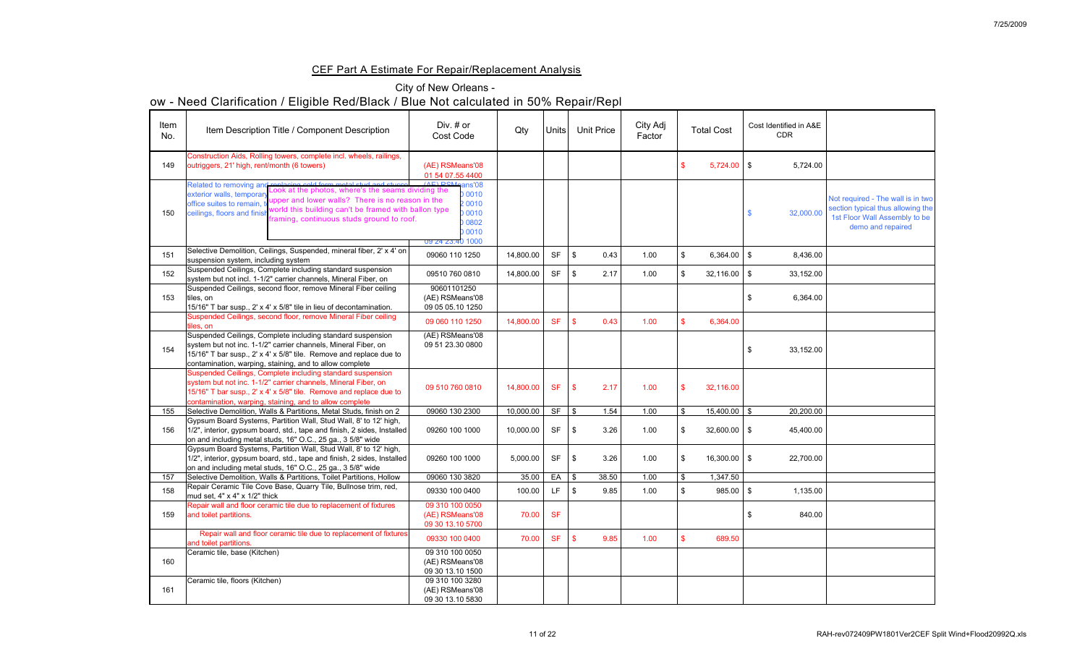## CEF Part A Estimate For Repair/Replacement Analysis

## City of New Orleans -

| Item<br>No. | Item Description Title / Component Description                                                                                                                                                                                                                                                                                                                                                           | Div. $#$ or<br><b>Cost Code</b>                                                                | Qty       | Units <sup> </sup> | <b>Unit Price</b>          |       | City Adj<br>Factor | <b>Total Cost</b> | Cost Identified in A&E<br><b>CDR</b> |           |                                                                                                                              |
|-------------|----------------------------------------------------------------------------------------------------------------------------------------------------------------------------------------------------------------------------------------------------------------------------------------------------------------------------------------------------------------------------------------------------------|------------------------------------------------------------------------------------------------|-----------|--------------------|----------------------------|-------|--------------------|-------------------|--------------------------------------|-----------|------------------------------------------------------------------------------------------------------------------------------|
| 149         | Construction Aids, Rolling towers, complete incl. wheels, railings,<br>outriggers, 21' high, rent/month (6 towers)                                                                                                                                                                                                                                                                                       | (AE) RSMeans'08<br>01 54 07.55 4400                                                            |           |                    |                            |       |                    | $5,724.00$ \$     |                                      | 5,724.00  |                                                                                                                              |
| 150         | Related to removing and replacing cold form metal stud and stucco (AE) RS<br>exterior walls, temporary Look at the photos, where's the seams dividing the<br>exterior walls, temporar<br>upper and lower walls? There is no reason in the<br>office suites to remain,<br>world this building can't be framed with ballon type<br>ceilings, floors and finis<br>framing, continuous studs ground to roof. | <u>(AF) PSMeans'08</u><br><b>D 0010</b><br>2 0010<br>00010<br>0802<br>0010<br>U9 24 23.40 1000 |           |                    |                            |       |                    |                   |                                      | 32,000.00 | Not required - The wall is in two<br>section typical thus allowing the<br>1st Floor Wall Assembly to be<br>demo and repaired |
| 151         | Selective Demolition, Ceilings, Suspended, mineral fiber, 2' x 4' on<br>suspension system, including system                                                                                                                                                                                                                                                                                              | 09060 110 1250                                                                                 | 14,800.00 | <b>SF</b>          | $\boldsymbol{\mathcal{S}}$ | 0.43  | 1.00               | $6,364.00$ \$     |                                      | 8,436.00  |                                                                                                                              |
| 152         | Suspended Ceilings, Complete including standard suspension<br>system but not incl. 1-1/2" carrier channels, Mineral Fiber, on                                                                                                                                                                                                                                                                            | 09510 760 0810                                                                                 | 14,800.00 | <b>SF</b>          | $\boldsymbol{\mathcal{S}}$ | 2.17  | 1.00               | $32,116.00$   \$  |                                      | 33,152.00 |                                                                                                                              |
| 153         | Suspended Ceilings, second floor, remove Mineral Fiber ceiling<br>tiles, on<br>15/16" T bar susp., 2' x 4' x 5/8" tile in lieu of decontamination.                                                                                                                                                                                                                                                       | 90601101250<br>(AE) RSMeans'08<br>09 05 05.10 1250                                             |           |                    |                            |       |                    |                   |                                      | 6,364.00  |                                                                                                                              |
|             | Suspended Ceilings, second floor, remove Mineral Fiber ceiling<br>tiles, on                                                                                                                                                                                                                                                                                                                              | 09 060 110 1250                                                                                | 14,800.00 | <b>SF</b>          | $\sqrt[6]{\frac{1}{2}}$    | 0.43  | 1.00               | 6,364.00          |                                      |           |                                                                                                                              |
| 154         | Suspended Ceilings, Complete including standard suspension<br>system but not inc. 1-1/2" carrier channels, Mineral Fiber, on<br>15/16" T bar susp., 2' x 4' x 5/8" tile. Remove and replace due to<br>contamination, warping, staining, and to allow complete                                                                                                                                            | (AE) RSMeans'08<br>09 51 23.30 0800                                                            |           |                    |                            |       |                    |                   |                                      | 33,152.00 |                                                                                                                              |
|             | Suspended Ceilings, Complete including standard suspension<br>system but not inc. 1-1/2" carrier channels, Mineral Fiber, on<br>15/16" T bar susp., 2' x 4' x 5/8" tile. Remove and replace due to<br>contamination, warping, staining, and to allow complete                                                                                                                                            | 09 510 760 0810                                                                                | 14,800.00 | <b>SF</b>          | $\mathbf{\$}$              | 2.17  | 1.00               | 32,116.00         |                                      |           |                                                                                                                              |
| 155         | Selective Demolition, Walls & Partitions, Metal Studs, finish on 2                                                                                                                                                                                                                                                                                                                                       | 09060 130 2300                                                                                 | 10,000.00 | <b>SF</b>          | $\sqrt[6]{\frac{1}{2}}$    | 1.54  | 1.00               | 15,400.00         |                                      | 20,200.00 |                                                                                                                              |
| 156         | Gypsum Board Systems, Partition Wall, Stud Wall, 8' to 12' high,<br>1/2", interior, gypsum board, std., tape and finish, 2 sides, Installed<br>on and including metal studs, 16" O.C., 25 ga., 3 5/8" wide                                                                                                                                                                                               | 09260 100 1000                                                                                 | 10,000.00 | <b>SF</b>          | $\boldsymbol{\mathcal{S}}$ | 3.26  | 1.00               | $32,600.00$   \$  |                                      | 45,400.00 |                                                                                                                              |
|             | Gypsum Board Systems, Partition Wall, Stud Wall, 8' to 12' high,<br>1/2", interior, gypsum board, std., tape and finish, 2 sides, Installed<br>on and including metal studs, 16" O.C., 25 ga., 3 5/8" wide                                                                                                                                                                                               | 09260 100 1000                                                                                 | 5,000.00  | <b>SF</b>          | $\boldsymbol{\mathcal{S}}$ | 3.26  | 1.00               | $16,300.00$   \$  |                                      | 22,700.00 |                                                                                                                              |
| 157         | Selective Demolition, Walls & Partitions, Toilet Partitions, Hollow                                                                                                                                                                                                                                                                                                                                      | 09060 130 3820                                                                                 | 35.00     | EA                 | $\mathcal{S}$              | 38.50 | 1.00               | 1,347.50          |                                      |           |                                                                                                                              |
| 158         | Repair Ceramic Tile Cove Base, Quarry Tile, Bullnose trim, red,<br>mud set, $4" \times 4" \times 1/2"$ thick                                                                                                                                                                                                                                                                                             | 09330 100 0400                                                                                 | 100.00    | LF                 | \$                         | 9.85  | 1.00               | $985.00$ \$       |                                      | 1,135.00  |                                                                                                                              |
| 159         | Repair wall and floor ceramic tile due to replacement of fixtures<br>and toilet partitions.                                                                                                                                                                                                                                                                                                              | 09 310 100 0050<br>(AE) RSMeans'08<br>09 30 13.10 5700                                         | 70.00     | <b>SF</b>          |                            |       |                    |                   |                                      | 840.00    |                                                                                                                              |
|             | Repair wall and floor ceramic tile due to replacement of fixtures<br>and toilet partitions.                                                                                                                                                                                                                                                                                                              | 09330 100 0400                                                                                 | 70.00     | <b>SF</b>          | $\mathbf{\$}$              | 9.85  | 1.00               | 689.50            |                                      |           |                                                                                                                              |
| 160         | Ceramic tile, base (Kitchen)                                                                                                                                                                                                                                                                                                                                                                             | 09 310 100 0050<br>(AE) RSMeans'08<br>09 30 13.10 1500                                         |           |                    |                            |       |                    |                   |                                      |           |                                                                                                                              |
| 161         | Ceramic tile, floors (Kitchen)                                                                                                                                                                                                                                                                                                                                                                           | 09 310 100 3280<br>(AE) RSMeans'08<br>09 30 13.10 5830                                         |           |                    |                            |       |                    |                   |                                      |           |                                                                                                                              |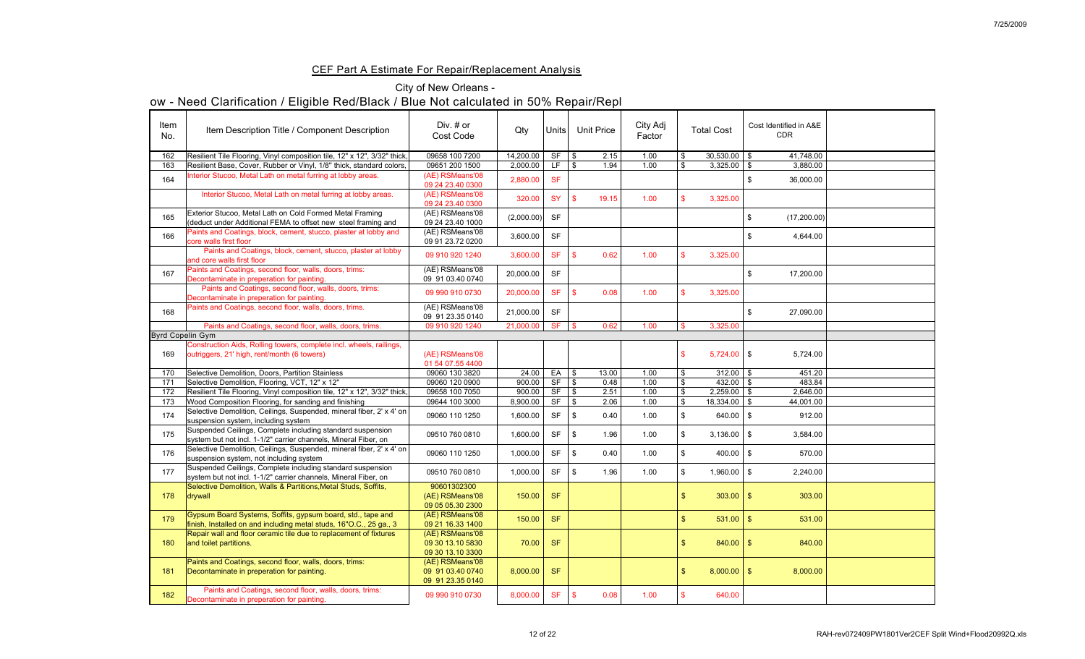## CEF Part A Estimate For Repair/Replacement Analysis

## City of New Orleans -

| Item<br>No.<br>162      | Item Description Title / Component Description<br>Resilient Tile Flooring, Vinyl composition tile, 12" x 12", 3/32" thick,        | Div. $#$ or<br><b>Cost Code</b><br>09658 100 7200       | Qty<br>14,200.00 | Units<br><b>SF</b> | <b>Unit Price</b><br>$\boldsymbol{\mathcal{S}}$<br>2.15 | City Adj<br>Factor<br>1.00 |              | <b>Total Cost</b><br>$30,530.00$ \$ | Cost Identified in A&E<br><b>CDR</b><br>41,748.00 |  |
|-------------------------|-----------------------------------------------------------------------------------------------------------------------------------|---------------------------------------------------------|------------------|--------------------|---------------------------------------------------------|----------------------------|--------------|-------------------------------------|---------------------------------------------------|--|
| 163                     | Resilient Base, Cover, Rubber or Vinyl, 1/8" thick, standard colors,                                                              | 09651 200 1500                                          | 2,000.00         | LF.                | $\boldsymbol{\mathcal{S}}$<br>1.94                      | 1.00                       |              | $3,325.00$   \$                     | 3,880.00                                          |  |
| 164                     | Interior Stucoo, Metal Lath on metal furring at lobby areas.                                                                      | (AE) RSMeans'08<br>09 24 23.40 0300                     | 2,880.00         | <b>SF</b>          |                                                         |                            |              |                                     | 36,000.00                                         |  |
|                         | Interior Stucoo, Metal Lath on metal furring at lobby areas.                                                                      | (AE) RSMeans'08<br>09 24 23.40 0300                     | 320.00           | <b>SY</b>          | $\sqrt[6]{3}$<br>19.15                                  | 1.00                       |              | 3,325.00                            |                                                   |  |
| 165                     | Exterior Stucoo, Metal Lath on Cold Formed Metal Framing<br>(deduct under Additional FEMA to offset new steel framing and         | (AE) RSMeans'08<br>09 24 23.40 1000                     | (2,000.00)       | <b>SF</b>          |                                                         |                            |              |                                     | (17,200.00)                                       |  |
| 166                     | Paints and Coatings, block, cement, stucco, plaster at lobby and<br>core walls first floor                                        | (AE) RSMeans'08<br>09 91 23.72 0200                     | 3,600.00         | <b>SF</b>          |                                                         |                            |              |                                     | 4,644.00                                          |  |
|                         | Paints and Coatings, block, cement, stucco, plaster at lobby<br>and core walls first floor                                        | 09 910 920 1240                                         | 3,600.00         | <b>SF</b>          | 0.62                                                    | 1.00                       |              | 3,325.00                            |                                                   |  |
| 167                     | Paints and Coatings, second floor, walls, doors, trims:<br>Decontaminate in preperation for painting.                             | (AE) RSMeans'08<br>09 91 03.40 0740                     | 20,000.00        | <b>SF</b>          |                                                         |                            |              |                                     | 17,200.00                                         |  |
|                         | Paints and Coatings, second floor, walls, doors, trims:<br>Decontaminate in preperation for painting.                             | 09 990 910 0730                                         | 20,000.00        | <b>SF</b>          | 0.08<br>$\mathbf{\$}$                                   | 1.00                       |              | 3,325.00                            |                                                   |  |
| 168                     | Paints and Coatings, second floor, walls, doors, trims.                                                                           | (AE) RSMeans'08<br>09 91 23.35 0140                     | 21,000.00        | <b>SF</b>          |                                                         |                            |              |                                     | 27,090.00                                         |  |
|                         | Paints and Coatings, second floor, walls, doors, trims.                                                                           | 09 910 920 1240                                         | 21,000.00        | <b>SF</b>          | 0.62<br><b>S</b>                                        | 1.00                       |              | 3,325.00                            |                                                   |  |
| <b>Byrd Copelin Gym</b> |                                                                                                                                   |                                                         |                  |                    |                                                         |                            |              |                                     |                                                   |  |
| 169                     | Construction Aids, Rolling towers, complete incl. wheels, railings,<br>outriggers, 21' high, rent/month (6 towers)                | (AE) RSMeans'08<br>01 54 07.55 4400                     |                  |                    |                                                         |                            |              | $5,724.00$ \$                       | 5,724.00                                          |  |
| 170                     | Selective Demolition, Doors, Partition Stainless                                                                                  | 09060 130 3820                                          | 24.00            | EA                 | 13.00<br>\$                                             | 1.00                       |              | $312.00$   \$                       | 451.20                                            |  |
| 171                     | Selective Demolition, Flooring, VCT, 12" x 12"                                                                                    | 09060 120 0900                                          | 900.00           | <b>SF</b>          | 0.48                                                    | 1.00                       |              | 432.00 $\vert$ \$                   | 483.84                                            |  |
| 172                     | Resilient Tile Flooring, Vinyl composition tile, 12" x 12", 3/32" thick,                                                          | 09658 100 7050                                          | 900.00           | <b>SF</b>          | 2.51<br>\$                                              | 1.00                       |              | $2,259.00$ \$                       | 2,646.00                                          |  |
| 173                     | Wood Composition Flooring, for sanding and finishing                                                                              | 09644 100 3000                                          | 8,900.00         | <b>SF</b>          | 2.06<br>\$                                              | 1.00                       |              | $18,334.00$   \$                    | 44,001.00                                         |  |
| 174                     | Selective Demolition, Ceilings, Suspended, mineral fiber, 2' x 4' on<br>suspension system, including system                       | 09060 110 1250                                          | 1,600.00         | <b>SF</b>          | 0.40<br>- \$                                            | 1.00                       |              | $640.00$ \ \$                       | 912.00                                            |  |
| 175                     | Suspended Ceilings, Complete including standard suspension<br>system but not incl. 1-1/2" carrier channels, Mineral Fiber, on     | 09510 760 0810                                          | 1,600.00         | <b>SF</b>          | 1.96<br>-\$                                             | 1.00                       |              | $3,136.00$ \ \$                     | 3,584.00                                          |  |
| 176                     | Selective Demolition, Ceilings, Suspended, mineral fiber, 2' x 4' on<br>suspension system, not including system                   | 09060 110 1250                                          | 1,000.00         | <b>SF</b>          | 0.40<br>-\$                                             | 1.00                       |              | $400.00$   \$                       | 570.00                                            |  |
| 177                     | Suspended Ceilings, Complete including standard suspension<br>system but not incl. 1-1/2" carrier channels, Mineral Fiber, on     | 09510 760 0810                                          | 1,000.00         | <b>SF</b>          | 1.96<br>\$                                              | 1.00                       |              | $1,960.00$ \$                       | 2,240.00                                          |  |
| 178                     | Selective Demolition, Walls & Partitions, Metal Studs, Soffits,<br>drywall                                                        | 90601302300<br>(AE) RSMeans'08<br>09 05 05.30 2300      | 150.00           | <b>SF</b>          |                                                         |                            |              | $303.00$   \$                       | 303.00                                            |  |
| 179                     | Gypsum Board Systems, Soffits, gypsum board, std., tape and<br>finish, Installed on and including metal studs, 16"O.C., 25 ga., 3 | (AE) RSMeans'08<br>09 21 16.33 1400                     | 150.00           | <b>SF</b>          |                                                         |                            |              |                                     | 531.00                                            |  |
| 180                     | Repair wall and floor ceramic tile due to replacement of fixtures<br>and toilet partitions.                                       | (AE) RSMeans'08<br>09 30 13.10 5830<br>09 30 13.10 3300 | 70.00            | <b>SF</b>          |                                                         |                            | $\mathbb{S}$ | $840.00$   \$                       | 840.00                                            |  |
| 181                     | Paints and Coatings, second floor, walls, doors, trims:<br>Decontaminate in preperation for painting.                             | (AE) RSMeans'08<br>09 91 03.40 0740<br>09 91 23.35 0140 | 8,000.00         | <b>SF</b>          |                                                         |                            | \$           | $8,000.00$ \$                       | 8,000.00                                          |  |
| <u> 182</u>             | Paints and Coatings, second floor, walls, doors, trims:<br>Decontaminate in preperation for painting.                             | 09 990 910 0730                                         | 8,000.00 SF \$   |                    | 0.08                                                    | 1.00                       |              | 640.00                              |                                                   |  |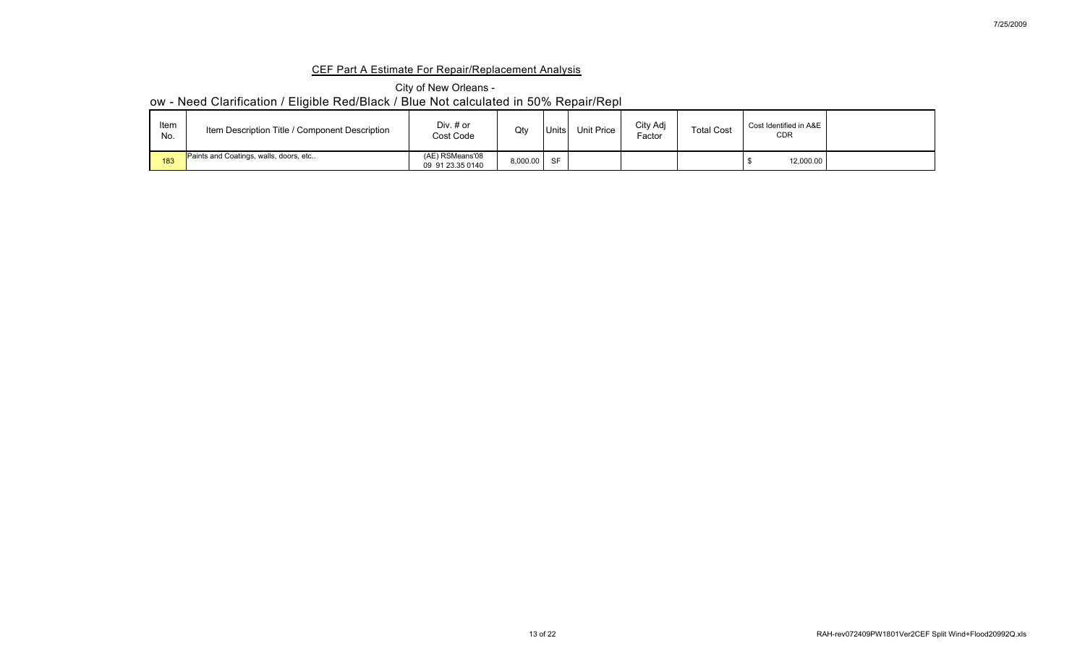## CEF Part A Estimate For Repair/Replacement Analysis

## City of New Orleans -

| Item<br>No. | Item Description Title / Component Description | Div. $#$ or<br><b>Cost Code</b>     | Qty      | <b>JnitsI</b> | Unit Price | City Adj<br>$\epsilon$ actor | <b>Total Cost</b> | Cost Identified in A&E<br><b>CDR</b> |  |
|-------------|------------------------------------------------|-------------------------------------|----------|---------------|------------|------------------------------|-------------------|--------------------------------------|--|
| 183         | Paints and Coatings, walls, doors, etc         | (AE) RSMeans'08<br>09 91 23.35 0140 | 8,000.00 | <b>SF</b>     |            |                              |                   | 12,000.00                            |  |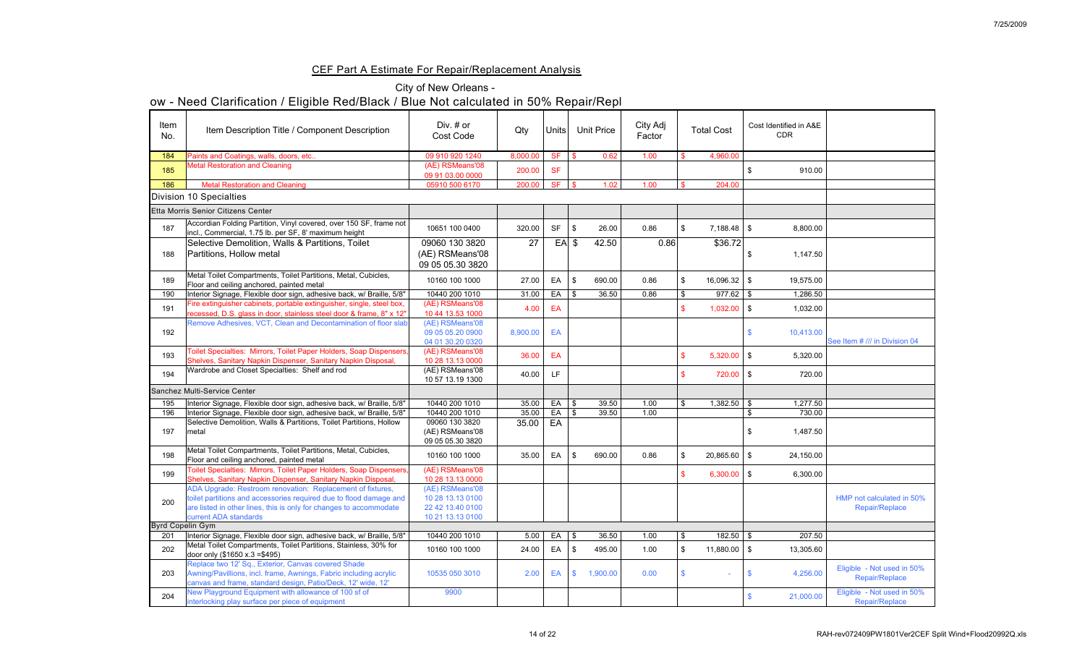### CEF Part A Estimate For Repair/Replacement Analysis

|                  | ow - Need Clarification / Eligible Red/Black / Blue Not calculated in 50% Repair/Repl                                                                                                                                           |                                                                             |          |                 |               |                   |                    |                    |                                      |                                                     |
|------------------|---------------------------------------------------------------------------------------------------------------------------------------------------------------------------------------------------------------------------------|-----------------------------------------------------------------------------|----------|-----------------|---------------|-------------------|--------------------|--------------------|--------------------------------------|-----------------------------------------------------|
| Item<br>No.      | Item Description Title / Component Description                                                                                                                                                                                  | Div. $#$ or<br><b>Cost Code</b>                                             | Qty      | Units           |               | <b>Unit Price</b> | City Adj<br>Factor | <b>Total Cost</b>  | Cost Identified in A&E<br><b>CDR</b> |                                                     |
| 184              | Paints and Coatings, walls, doors, etc                                                                                                                                                                                          | 09 910 920 1240                                                             | 8,000.00 | <b>SF</b>       |               | 0.62              | 1.00               | 4,960.00           |                                      |                                                     |
| 185              | <b>Metal Restoration and Cleaning</b>                                                                                                                                                                                           | (AE) RSMeans'08<br>09 91 03.00 0000                                         | 200.00   | <b>SF</b>       |               |                   |                    |                    | 910.00                               |                                                     |
| 186              | <b>Metal Restoration and Cleaning</b>                                                                                                                                                                                           | 05910 500 6170                                                              | 200.00   | SF              | $\mathbf{\$}$ | 1.02              | 1.00               | 204.00             |                                      |                                                     |
|                  | Division 10 Specialties                                                                                                                                                                                                         |                                                                             |          |                 |               |                   |                    |                    |                                      |                                                     |
|                  | Etta Morris Senior Citizens Center                                                                                                                                                                                              |                                                                             |          |                 |               |                   |                    |                    |                                      |                                                     |
| 187              | Accordian Folding Partition, Vinyl covered, over 150 SF, frame not<br>incl., Commercial, 1.75 lb. per SF, 8' maximum height                                                                                                     | 10651 100 0400                                                              | 320.00   | <b>SF</b>       | $1$ \$        | 26.00             | 0.86               |                    | 8,800.00                             |                                                     |
| 188              | Selective Demolition, Walls & Partitions, Toilet<br>Partitions, Hollow metal                                                                                                                                                    | 09060 130 3820<br>(AE) RSMeans'08<br>09 05 05.30 3820                       | 27       |                 | $EA$ \$       | 42.50             | 0.86               | \$36.72            | 1,147.50                             |                                                     |
| 189              | Metal Toilet Compartments, Toilet Partitions, Metal, Cubicles,<br>Floor and ceiling anchored, painted metal                                                                                                                     | 10160 100 1000                                                              | 27.00    | EA              | l \$          | 690.00            | 0.86               | $16,096.32$ \$     | 19,575.00                            |                                                     |
| 190              | Interior Signage, Flexible door sign, adhesive back, w/ Braille, 5/8"                                                                                                                                                           | 10440 200 1010                                                              | 31.00    | $EA$ $\sqrt{S}$ |               | 36.50             | 0.86               | $977.62$ \$        | 1,286.50                             |                                                     |
| 191              | Fire extinguisher cabinets, portable extinguisher, single, steel box,<br>recessed, D.S. glass in door, stainless steel door & frame, 8" x 12"                                                                                   | (AE) RSMeans'08<br>10 44 13.53 1000                                         | 4.00     | EA              |               |                   |                    | $1,032.00$ \$      | 1,032.00                             |                                                     |
| 192              | Remove Adhesives, VCT, Clean and Decontamination of floor slab                                                                                                                                                                  | (AE) RSMeans'08<br>09 05 05.20 0900<br>04 01 30.20 0320                     | 8,900.00 | EA              |               |                   |                    |                    | 10,413.00                            | See Item # /// in Division 04                       |
| 193              | Toilet Specialties: Mirrors, Toilet Paper Holders, Soap Dispensers,<br>Shelves, Sanitary Napkin Dispenser, Sanitary Napkin Disposal,                                                                                            | (AE) RSMeans'08<br>10 28 13.13 0000                                         | 36.00    | EA              |               |                   |                    | $5,320.00$ \ \$    | 5,320.00                             |                                                     |
| 194              | Wardrobe and Closet Specialties: Shelf and rod                                                                                                                                                                                  | (AE) RSMeans'08<br>10 57 13.19 1300                                         | 40.00    | LF.             |               |                   |                    | 720.00             | 720.00<br>-\$                        |                                                     |
|                  | Sanchez Multi-Service Center                                                                                                                                                                                                    |                                                                             |          |                 |               |                   |                    |                    |                                      |                                                     |
| 195              | Interior Signage, Flexible door sign, adhesive back, w/ Braille, 5/8"                                                                                                                                                           | 10440 200 1010                                                              | 35.00    | $EA$ $\sqrt{S}$ |               | 39.50             | 1.00               | $1,382.50$ $\vert$ | 1,277.50                             |                                                     |
| 196              | Interior Signage, Flexible door sign, adhesive back, w/ Braille, 5/8"                                                                                                                                                           | 10440 200 1010                                                              | 35.00    | $EA$ $\sqrt{S}$ |               | 39.50             | 1.00               |                    | 730.00                               |                                                     |
| 197              | Selective Demolition, Walls & Partitions, Toilet Partitions, Hollow<br>metal                                                                                                                                                    | 09060 130 3820<br>(AE) RSMeans'08<br>09 05 05.30 3820                       | 35.00    | EA              |               |                   |                    |                    | 1,487.50                             |                                                     |
| 198              | Metal Toilet Compartments, Toilet Partitions, Metal, Cubicles,<br>Floor and ceiling anchored, painted metal                                                                                                                     | 10160 100 1000                                                              | 35.00    | EA              | \$            | 690.00            | 0.86               | $20,865.60$   \$   | 24,150.00                            |                                                     |
| 199              | Toilet Specialties: Mirrors, Toilet Paper Holders, Soap Dispensers,<br>Shelves, Sanitary Napkin Dispenser, Sanitary Napkin Disposal,                                                                                            | (AE) RSMeans'08<br>10 28 13.13 0000                                         |          |                 |               |                   |                    | $6,300.00$ \$      | 6,300.00                             |                                                     |
| 200              | ADA Upgrade: Restroom renovation: Replacement of fixtures,<br>toilet partitions and accessories required due to flood damage and<br>are listed in other lines, this is only for changes to accommodate<br>current ADA standards | (AE) RSMeans'08<br>10 28 13.13 0100<br>22 42 13.40 0100<br>10 21 13.13 0100 |          |                 |               |                   |                    |                    |                                      | HMP not calculated in 50%<br><b>Repair/Replace</b>  |
| Byrd Copelin Gym |                                                                                                                                                                                                                                 |                                                                             |          |                 |               |                   |                    |                    |                                      |                                                     |
| 201              | Interior Signage, Flexible door sign, adhesive back, w/ Braille, 5/8"                                                                                                                                                           | 10440 200 1010                                                              | 5.00     | $EA$ $\sqrt{S}$ |               | 36.50             | 1.00               | 182.50             | 207.50                               |                                                     |
| 202              | Metal Toilet Compartments, Toilet Partitions, Stainless, 30% for<br>door only $(\$1650 x.3 = \$495)$                                                                                                                            | 10160 100 1000                                                              | 24.00    | EA              | l \$          | 495.00            | 1.00               | $11,880.00$   \$   | 13,305.60                            |                                                     |
| 203              | Replace two 12' Sq., Exterior, Canvas covered Shade<br>Awning/Pavillions, incl. frame, Awnings, Fabric including acrylic<br>canvas and frame, standard design, Patio/Deck, 12' wide, 12'                                        | 10535 050 3010                                                              | 2.00     | EA              | $\mathbf{\$}$ | 1,900.00          | 0.00               |                    | 4,256.00                             | Eligible - Not used in 50%<br>Repair/Replace        |
| 204              | New Playground Equipment with allowance of 100 sf of<br>interlocking play surface per piece of equipment                                                                                                                        | 9900                                                                        |          |                 |               |                   |                    |                    | 21,000.00                            | Eligible - Not used in 50%<br><b>Repair/Replace</b> |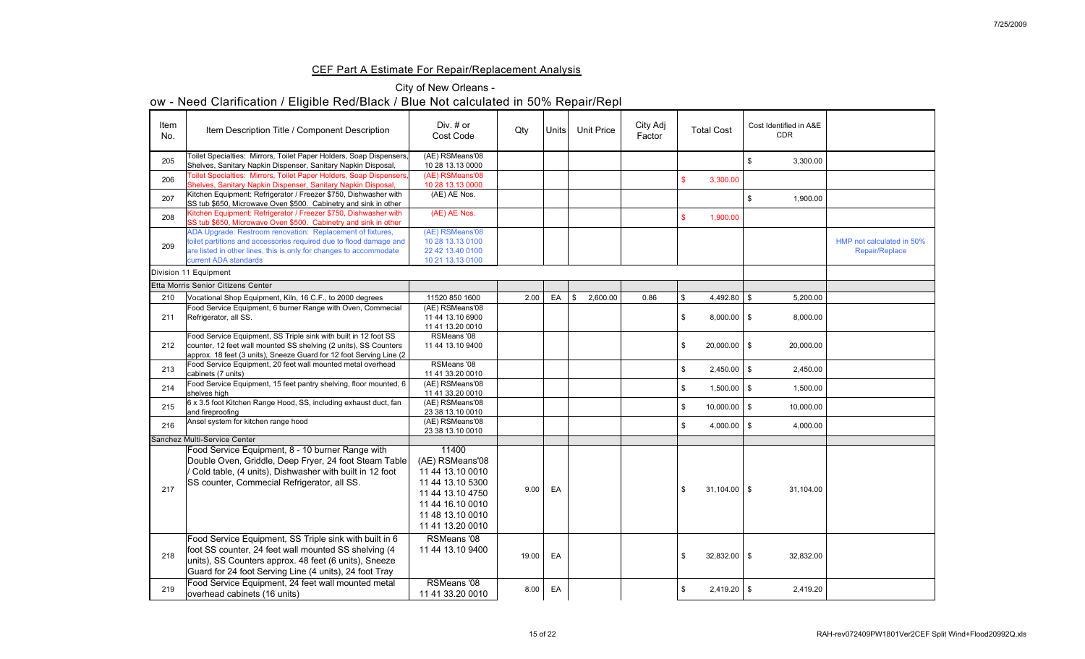## CEF Part A Estimate For Repair/Replacement Analysis

## City of New Orleans -

| Item<br>No. | Item Description Title / Component Description                                                                                                                                                                                     | Div. # or<br><b>Cost Code</b>                                                                                                                    | Qty   | Units | <b>Unit Price</b>        | City Adj<br>Factor | <b>Total Cost</b>   | Cost Identified in A&E<br><b>CDR</b> |                                                    |
|-------------|------------------------------------------------------------------------------------------------------------------------------------------------------------------------------------------------------------------------------------|--------------------------------------------------------------------------------------------------------------------------------------------------|-------|-------|--------------------------|--------------------|---------------------|--------------------------------------|----------------------------------------------------|
| 205         | Toilet Specialties: Mirrors, Toilet Paper Holders, Soap Dispensers,<br>Shelves, Sanitary Napkin Dispenser, Sanitary Napkin Disposal,                                                                                               | (AE) RSMeans'08<br>10 28 13.13 0000                                                                                                              |       |       |                          |                    |                     | 3,300.00                             |                                                    |
| 206         | Toilet Specialties: Mirrors, Toilet Paper Holders, Soap Dispensers,<br>Shelves, Sanitary Napkin Dispenser, Sanitary Napkin Disposal,                                                                                               | (AE) RSMeans'08<br>10 28 13.13 0000                                                                                                              |       |       |                          |                    | 3,300.00            |                                      |                                                    |
| 207         | Kitchen Equipment: Refrigerator / Freezer \$750, Dishwasher with<br>SS tub \$650, Microwave Oven \$500. Cabinetry and sink in other                                                                                                | (AE) AE Nos.                                                                                                                                     |       |       |                          |                    |                     | 1,900.00                             |                                                    |
| 208         | Kitchen Equipment: Refrigerator / Freezer \$750, Dishwasher with<br>SS tub \$650, Microwave Oven \$500. Cabinetry and sink in other                                                                                                | (AE) AE Nos.                                                                                                                                     |       |       |                          |                    | 1,900.00            |                                      |                                                    |
| 209         | ADA Upgrade: Restroom renovation: Replacement of fixtures,<br>toilet partitions and accessories required due to flood damage and<br>are listed in other lines, this is only for changes to accommodate<br>current ADA standards    | (AE) RSMeans'08<br>10 28 13.13 0100<br>22 42 13.40 0100<br>10 21 13.13 0100                                                                      |       |       |                          |                    |                     |                                      | HMP not calculated in 50%<br><b>Repair/Replace</b> |
|             | Division 11 Equipment                                                                                                                                                                                                              |                                                                                                                                                  |       |       |                          |                    |                     |                                      |                                                    |
|             | Etta Morris Senior Citizens Center                                                                                                                                                                                                 |                                                                                                                                                  |       |       |                          |                    |                     |                                      |                                                    |
| 210         | Vocational Shop Equipment, Kiln, 16 C.F., to 2000 degrees                                                                                                                                                                          | 11520 850 1600                                                                                                                                   | 2.00  | EA    | $\mathbb{S}$<br>2,600.00 | 0.86               |                     | 5,200.00                             |                                                    |
| 211         | Food Service Equipment, 6 burner Range with Oven, Commecial<br>Refrigerator, all SS.                                                                                                                                               | (AE) RSMeans'08<br>11 44 13.10 6900<br>11 41 13.20 0010                                                                                          |       |       |                          |                    | $8,000.00$ \$       | 8,000.00                             |                                                    |
| 212         | Food Service Equipment, SS Triple sink with built in 12 foot SS<br>counter, 12 feet wall mounted SS shelving (2 units), SS Counters<br> approx. 18 feet (3 units), Sneeze Guard for 12 foot Serving Line (2                        | RSMeans '08<br>11 44 13.10 9400                                                                                                                  |       |       |                          |                    | $20,000.00$   \$    | 20,000.00                            |                                                    |
| 213         | Food Service Equipment, 20 feet wall mounted metal overhead<br>cabinets (7 units)                                                                                                                                                  | RSMeans '08<br>11 41 33.20 0010                                                                                                                  |       |       |                          |                    | $2,450.00$ \ \ \$   | 2,450.00                             |                                                    |
| 214         | Food Service Equipment, 15 feet pantry shelving, floor mounted, 6<br>shelves high                                                                                                                                                  | (AE) RSMeans'08<br>11 41 33.20 0010                                                                                                              |       |       |                          |                    | $1,500.00$   \$     | 1,500.00                             |                                                    |
| 215         | 6 x 3.5 foot Kitchen Range Hood, SS, including exhaust duct, fan<br>and fireproofing                                                                                                                                               | (AE) RSMeans'08<br>23 38 13.10 0010                                                                                                              |       |       |                          |                    | $10,000.00$   \$    | 10,000.00                            |                                                    |
| 216         | Ansel system for kitchen range hood                                                                                                                                                                                                | (AE) RSMeans'08<br>23 38 13.10 0010                                                                                                              |       |       |                          |                    | 4,000.00 $\mid$ \$  | 4,000.00                             |                                                    |
|             | Sanchez Multi-Service Center                                                                                                                                                                                                       |                                                                                                                                                  |       |       |                          |                    |                     |                                      |                                                    |
| 217         | Food Service Equipment, 8 - 10 burner Range with<br>Double Oven, Griddle, Deep Fryer, 24 foot Steam Table<br>Cold table, (4 units), Dishwasher with built in 12 foot<br><b>ISS counter, Commecial Refrigerator, all SS.</b>        | 11400<br>(AE) RSMeans'08<br>11 44 13.10 0010<br>11 44 13.10 5300<br>11 44 13.10 4750<br>11 44 16.10 0010<br>11 48 13.10 0010<br>11 41 13.20 0010 | 9.00  | EA    |                          |                    | $31,104.00$   \$    | 31,104.00                            |                                                    |
| 218         | Food Service Equipment, SS Triple sink with built in 6<br>foot SS counter, 24 feet wall mounted SS shelving (4)<br>units), SS Counters approx. 48 feet (6 units), Sneeze<br>Guard for 24 foot Serving Line (4 units), 24 foot Tray | RSMeans '08<br>11 44 13.10 9400                                                                                                                  | 19.00 | EA    |                          |                    | $32,832.00$   \$    | 32,832.00                            |                                                    |
| 219         | Food Service Equipment, 24 feet wall mounted metal<br>overhead cabinets (16 units)                                                                                                                                                 | <b>RSMeans '08</b><br>11 41 33.20 0010                                                                                                           | 8.00  | EA    |                          |                    | \$<br>$2,419.20$ \$ | 2,419.20                             |                                                    |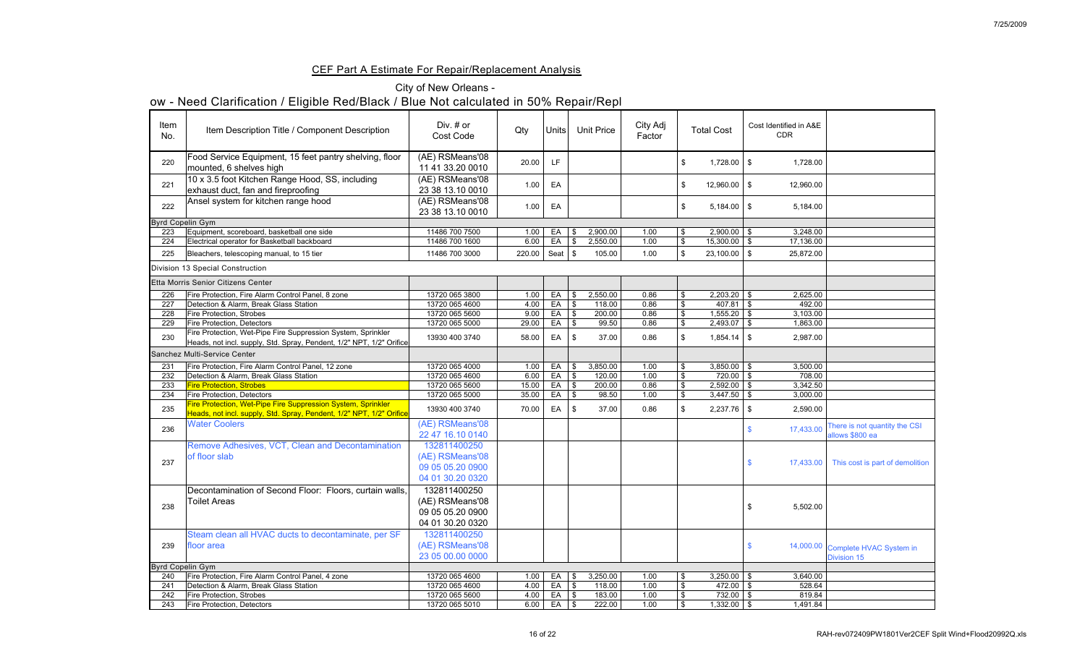## CEF Part A Estimate For Repair/Replacement Analysis

## City of New Orleans -

|                         | <b>THE REAL AND THE REAL AND THE REAL AND THE REAL AND THE VEHICLE SPACE.</b>                                                        |                                     |        |                |                          |                   |                    |                   |                                      |                                   |
|-------------------------|--------------------------------------------------------------------------------------------------------------------------------------|-------------------------------------|--------|----------------|--------------------------|-------------------|--------------------|-------------------|--------------------------------------|-----------------------------------|
| Item<br>No.             | Item Description Title / Component Description                                                                                       | Div. $#$ or<br><b>Cost Code</b>     | Qty    | Units          |                          | <b>Unit Price</b> | City Adj<br>Factor | <b>Total Cost</b> | Cost Identified in A&E<br><b>CDR</b> |                                   |
| 220                     | Food Service Equipment, 15 feet pantry shelving, floor<br>mounted, 6 shelves high                                                    | (AE) RSMeans'08<br>11 41 33.20 0010 | 20.00  | LF.            |                          |                   |                    | $1,728.00$ \$     | 1,728.00                             |                                   |
| 221                     | 10 x 3.5 foot Kitchen Range Hood, SS, including<br>exhaust duct, fan and fireproofing                                                | (AE) RSMeans'08<br>23 38 13.10 0010 | 1.00   | EA             |                          |                   |                    | $12,960.00$   \$  | 12,960.00                            |                                   |
| 222                     | Ansel system for kitchen range hood                                                                                                  | (AE) RSMeans'08<br>23 38 13.10 0010 | 1.00   | EA             |                          |                   |                    | $5,184.00$ \ \ \$ | 5,184.00                             |                                   |
| <b>Byrd Copelin Gym</b> |                                                                                                                                      |                                     |        |                |                          |                   |                    |                   |                                      |                                   |
| 223                     | Equipment, scoreboard, basketball one side                                                                                           | 11486 700 7500                      | 1.00   | EA             | \$.                      | 2,900.00          | 1.00               | $2,900.00$ \$     | 3,248.00                             |                                   |
| 224                     | Electrical operator for Basketball backboard                                                                                         | 11486 700 1600                      | 6.00   | EA             |                          | 2,550.00          | 1.00               | $15,300.00$   \$  | 17,136.00                            |                                   |
| 225                     | Bleachers, telescoping manual, to 15 tier                                                                                            | 11486 700 3000                      | 220.00 | Seat $\vert \$ |                          | 105.00            | 1.00               | $23,100.00$   \$  | 25,872.00                            |                                   |
|                         | <b>Division 13 Special Construction</b>                                                                                              |                                     |        |                |                          |                   |                    |                   |                                      |                                   |
|                         | Etta Morris Senior Citizens Center                                                                                                   |                                     |        |                |                          |                   |                    |                   |                                      |                                   |
| 226                     | Fire Protection, Fire Alarm Control Panel, 8 zone                                                                                    | 13720 065 3800                      | 1.00   | EA             |                          | 2,550.00          | 0.86               | 2,203.20          | 2,625.00                             |                                   |
| 227                     | Detection & Alarm, Break Glass Station                                                                                               | 13720 065 4600                      | 4.00   | EA             |                          | 118.00            | 0.86               | $407.81$ \ \$     | 492.00                               |                                   |
| 228                     | <b>Fire Protection, Strobes</b>                                                                                                      | 13720 065 5600                      | 9.00   | EA             | $\mathfrak{L}$           | 200.00            | 0.86               | 1,555.20          | 3,103.00<br>-\$                      |                                   |
| 229                     | <b>Fire Protection, Detectors</b>                                                                                                    | 13720 065 5000                      | 29.00  | EA             | $\mathfrak{L}$           | 99.50             | 0.86               | 2,493.07          | 1,863.00                             |                                   |
| 230                     | Fire Protection, Wet-Pipe Fire Suppression System, Sprinkler<br>Heads, not incl. supply, Std. Spray, Pendent, 1/2" NPT, 1/2" Orifice | 13930 400 3740                      | 58.00  | EA             |                          | 37.00             | 0.86               |                   | 2,987.00                             |                                   |
|                         | Sanchez Multi-Service Center                                                                                                         |                                     |        |                |                          |                   |                    |                   |                                      |                                   |
|                         |                                                                                                                                      |                                     |        |                |                          |                   |                    |                   |                                      |                                   |
| 231                     | Fire Protection, Fire Alarm Control Panel, 12 zone                                                                                   | 13720 065 4000                      | 1.00   | EA             |                          | 3,850.00          | 1.00               | 3,850.00          | 3,500.00                             |                                   |
| 232                     | Detection & Alarm, Break Glass Station                                                                                               | 13720 065 4600                      | 6.00   | EA             | $\overline{\phantom{a}}$ | 120.00            | 1.00               | $720.00$ \ \$     | 708.00                               |                                   |
| 233                     | <b>Fire Protection, Strobes</b>                                                                                                      | 13720 065 5600                      | 15.00  | EA             | \$                       | 200.00            | 0.86               | $2,592.00$ \$     | 3,342.50                             |                                   |
| 234                     | <b>Fire Protection, Detectors</b>                                                                                                    | 13720 065 5000                      | 35.00  | EA             | $\mathfrak{S}$           | 98.50             | 1.00               | 3,447.50          | 3,000.00<br>- \$                     |                                   |
| 235                     | Fire Protection, Wet-Pipe Fire Suppression System, Sprinkler<br>Heads, not incl. supply, Std. Spray, Pendent, 1/2" NPT, 1/2" Orifice | 13930 400 3740                      | 70.00  | EA             | \$                       | 37.00             | 0.86               | $2,237.76$ \$     | 2,590.00                             |                                   |
| 236                     | <b>Water Coolers</b>                                                                                                                 | (AE) RSMeans'08                     |        |                |                          |                   |                    |                   | 17,433.00                            | There is not quantity the CSI     |
|                         |                                                                                                                                      | 22 47 16.10 0140                    |        |                |                          |                   |                    |                   |                                      | allows \$800 ea                   |
|                         | Remove Adhesives, VCT, Clean and Decontamination                                                                                     | 132811400250                        |        |                |                          |                   |                    |                   |                                      |                                   |
|                         | of floor slab                                                                                                                        | (AE) RSMeans'08                     |        |                |                          |                   |                    |                   |                                      |                                   |
| 237                     |                                                                                                                                      | 09 05 05.20 0900                    |        |                |                          |                   |                    |                   | 17,433.00                            | This cost is part of demolition   |
|                         |                                                                                                                                      | 04 01 30.20 0320                    |        |                |                          |                   |                    |                   |                                      |                                   |
|                         |                                                                                                                                      |                                     |        |                |                          |                   |                    |                   |                                      |                                   |
|                         | Decontamination of Second Floor: Floors, curtain walls,                                                                              | 132811400250                        |        |                |                          |                   |                    |                   |                                      |                                   |
| 238                     | Toilet Areas                                                                                                                         | (AE) RSMeans'08                     |        |                |                          |                   |                    |                   | 5,502.00                             |                                   |
|                         |                                                                                                                                      | 09 05 05.20 0900                    |        |                |                          |                   |                    |                   |                                      |                                   |
|                         |                                                                                                                                      | 04 01 30.20 0320                    |        |                |                          |                   |                    |                   |                                      |                                   |
|                         | Steam clean all HVAC ducts to decontaminate, per SF                                                                                  | 132811400250                        |        |                |                          |                   |                    |                   |                                      |                                   |
| 239                     | <b>floor</b> area                                                                                                                    | (AE) RSMeans'08                     |        |                |                          |                   |                    |                   |                                      | 14,000.00 Complete HVAC System in |
|                         |                                                                                                                                      | 23 05 00.00 0000                    |        |                |                          |                   |                    |                   |                                      | <b>Division 15</b>                |
| <b>Byrd Copelin Gym</b> |                                                                                                                                      |                                     |        |                |                          |                   |                    |                   |                                      |                                   |
| 240                     | Fire Protection, Fire Alarm Control Panel, 4 zone                                                                                    | 13720 065 4600                      | 1.00   | EA             | \$                       | 3,250.00          | 1.00               | $3,250.00$ \$     | 3,640.00                             |                                   |
| 241                     | Detection & Alarm, Break Glass Station                                                                                               | 13720 065 4600                      | 4.00   | EA S           |                          | 118.00            | 1.00               | $472.00$ \ \$     | 528.64                               |                                   |
| 242                     | <b>Fire Protection, Strobes</b>                                                                                                      | 13720 065 5600                      | 4.00   | EA             | 15                       | 183.00            | 1.00               | $732.00$ \ \$     | 819.84                               |                                   |
| 243                     | <b>Fire Protection, Detectors</b>                                                                                                    | 13720 065 5010                      | 6.00   | EA             | $\sqrt{S}$               | 222.00            | 1.00               | $1,332.00$ \$     | 1,491.84                             |                                   |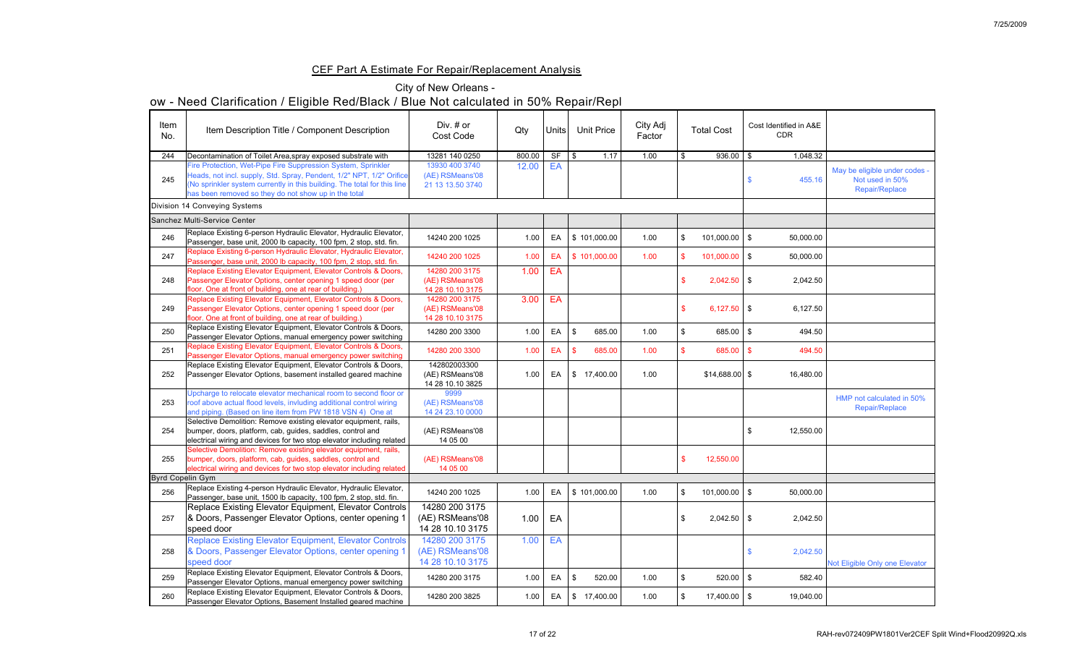## CEF Part A Estimate For Repair/Replacement Analysis

## City of New Orleans -

| Item<br>No.             | Item Description Title / Component Description                                                                                                                                                                                                                           | Div. $#$ or<br><b>Cost Code</b>                       | Qty    | Units     | <b>Unit Price</b>        | City Adj<br>Factor |      | <b>Total Cost</b> | Cost Identified in A&E<br><b>CDR</b> |                                                                           |
|-------------------------|--------------------------------------------------------------------------------------------------------------------------------------------------------------------------------------------------------------------------------------------------------------------------|-------------------------------------------------------|--------|-----------|--------------------------|--------------------|------|-------------------|--------------------------------------|---------------------------------------------------------------------------|
| 244                     | Decontamination of Toilet Area, spray exposed substrate with                                                                                                                                                                                                             | 13281 140 0250                                        | 800.00 | <b>SF</b> | 1.17<br>\$               | 1.00               |      | $936.00$ \$       | 1,048.32                             |                                                                           |
| 245                     | Fire Protection, Wet-Pipe Fire Suppression System, Sprinkler<br>Heads, not incl. supply, Std. Spray, Pendent, 1/2" NPT, 1/2" Orifice<br>(No sprinkler system currently in this building. The total for this line<br>has been removed so they do not show up in the total | 13930 400 3740<br>(AE) RSMeans'08<br>21 13 13.50 3740 | 12.00  | EA        |                          |                    |      |                   | 455.16                               | May be eligible under codes -<br>Not used in 50%<br><b>Repair/Replace</b> |
|                         | <b>Division 14 Conveying Systems</b>                                                                                                                                                                                                                                     |                                                       |        |           |                          |                    |      |                   |                                      |                                                                           |
|                         | Sanchez Multi-Service Center                                                                                                                                                                                                                                             |                                                       |        |           |                          |                    |      |                   |                                      |                                                                           |
| 246                     | Replace Existing 6-person Hydraulic Elevator, Hydraulic Elevator,<br>Passenger, base unit, 2000 lb capacity, 100 fpm, 2 stop, std. fin.                                                                                                                                  | 14240 200 1025                                        | 1.00   | EA        | \$101,000.00             | 1.00               |      | $101,000.00$   \$ | 50,000.00                            |                                                                           |
| 247                     | Replace Existing 6-person Hydraulic Elevator, Hydraulic Elevator,<br>Passenger, base unit, 2000 lb capacity, 100 fpm, 2 stop, std. fin.                                                                                                                                  | 14240 200 1025                                        | 1.00   | EA        | \$101,000.00             | 1.00               |      | $101,000.00$ \$   | 50,000.00                            |                                                                           |
| 248                     | Replace Existing Elevator Equipment, Elevator Controls & Doors,<br>Passenger Elevator Options, center opening 1 speed door (per<br>floor. One at front of building, one at rear of building.)                                                                            | 14280 200 3175<br>(AE) RSMeans'08<br>14 28 10.10 3175 | 1.00   | EA        |                          |                    |      | $2,042.50$ \$     | 2,042.50                             |                                                                           |
| 249                     | Replace Existing Elevator Equipment, Elevator Controls & Doors,<br>Passenger Elevator Options, center opening 1 speed door (per<br>floor. One at front of building, one at rear of building.)                                                                            | 14280 200 3175<br>(AE) RSMeans'08<br>14 28 10.10 3175 | 3.00   | EA        |                          |                    |      | $6,127.50$ \$     | 6,127.50                             |                                                                           |
| 250                     | Replace Existing Elevator Equipment, Elevator Controls & Doors,<br>Passenger Elevator Options, manual emergency power switching                                                                                                                                          | 14280 200 3300                                        | 1.00   | EA        | 685.00                   | 1.00               |      | $685.00$ \$       | 494.50                               |                                                                           |
| 251                     | Replace Existing Elevator Equipment, Elevator Controls & Doors,<br>Passenger Elevator Options, manual emergency power switching                                                                                                                                          | 14280 200 3300                                        | 1.00   | EA   \$   | 685.00                   | 1.00               |      | $685.00$ \$       | 494.50                               |                                                                           |
| 252                     | Replace Existing Elevator Equipment, Elevator Controls & Doors,<br>Passenger Elevator Options, basement installed geared machine                                                                                                                                         | 142802003300<br>(AE) RSMeans'08<br>14 28 10.10 3825   | 1.00   | EA        | $\frac{1}{2}$ 17,400.00  | 1.00               |      | $$14,688.00$ \ \$ | 16,480.00                            |                                                                           |
| 253                     | Upcharge to relocate elevator mechanical room to second floor or<br>roof above actual flood levels, invluding additional control wiring<br>and piping. (Based on line item from PW 1818 VSN 4) One at                                                                    | 9999<br>(AE) RSMeans'08<br>14 24 23.10 0000           |        |           |                          |                    |      |                   |                                      | HMP not calculated in 50%<br><b>Repair/Replace</b>                        |
| 254                     | Selective Demolition: Remove existing elevator equipment, rails,<br>bumper, doors, platform, cab, guides, saddles, control and<br>electrical wiring and devices for two stop elevator including related                                                                  | (AE) RSMeans'08<br>14 05 00                           |        |           |                          |                    |      |                   | 12,550.00                            |                                                                           |
| 255                     | Selective Demolition: Remove existing elevator equipment, rails,<br>bumper, doors, platform, cab, guides, saddles, control and<br>electrical wiring and devices for two stop elevator including related                                                                  | (AE) RSMeans'08<br>14 05 00                           |        |           |                          |                    |      | 12,550.00         |                                      |                                                                           |
| <b>Byrd Copelin Gym</b> |                                                                                                                                                                                                                                                                          |                                                       |        |           |                          |                    |      |                   |                                      |                                                                           |
| 256                     | Replace Existing 4-person Hydraulic Elevator, Hydraulic Elevator,<br>Passenger, base unit, 1500 lb capacity, 100 fpm, 2 stop, std. fin.                                                                                                                                  | 14240 200 1025                                        | 1.00   | EA        | $\frac{1}{2}$ 101,000.00 | 1.00               | - \$ | $101,000.00$   \$ | 50,000.00                            |                                                                           |
| 257                     | Replace Existing Elevator Equipment, Elevator Controls  <br>8 Doors, Passenger Elevator Options, center opening<br>speed door                                                                                                                                            | 14280 200 3175<br>(AE) RSMeans'08<br>14 28 10.10 3175 | 1.00   | EA        |                          |                    |      | $2,042.50$ \$     | 2,042.50                             |                                                                           |
| 258                     | <b>Replace Existing Elevator Equipment, Elevator Controls</b><br>& Doors, Passenger Elevator Options, center opening<br>speed door                                                                                                                                       | 14280 200 3175<br>(AE) RSMeans'08<br>14 28 10.10 3175 | 1.00   | EA        |                          |                    |      |                   | 2,042.50                             | Not Eligible Only one Elevator                                            |
| 259                     | Replace Existing Elevator Equipment, Elevator Controls & Doors,                                                                                                                                                                                                          | 14280 200 3175                                        | 1.00   | EA        | 520.00<br>-\$            | 1.00               |      | $520.00$   \$     | 582.40                               |                                                                           |
| 260                     | Passenger Elevator Options, manual emergency power switching<br>Replace Existing Elevator Equipment, Elevator Controls & Doors,<br>Passenger Elevator Options, Basement Installed geared machine                                                                         | 14280 200 3825                                        | 1.00   | EA        | $\sqrt{3}$<br>17,400.00  | 1.00               |      | $17,400.00$ \ \$  | 19,040.00                            |                                                                           |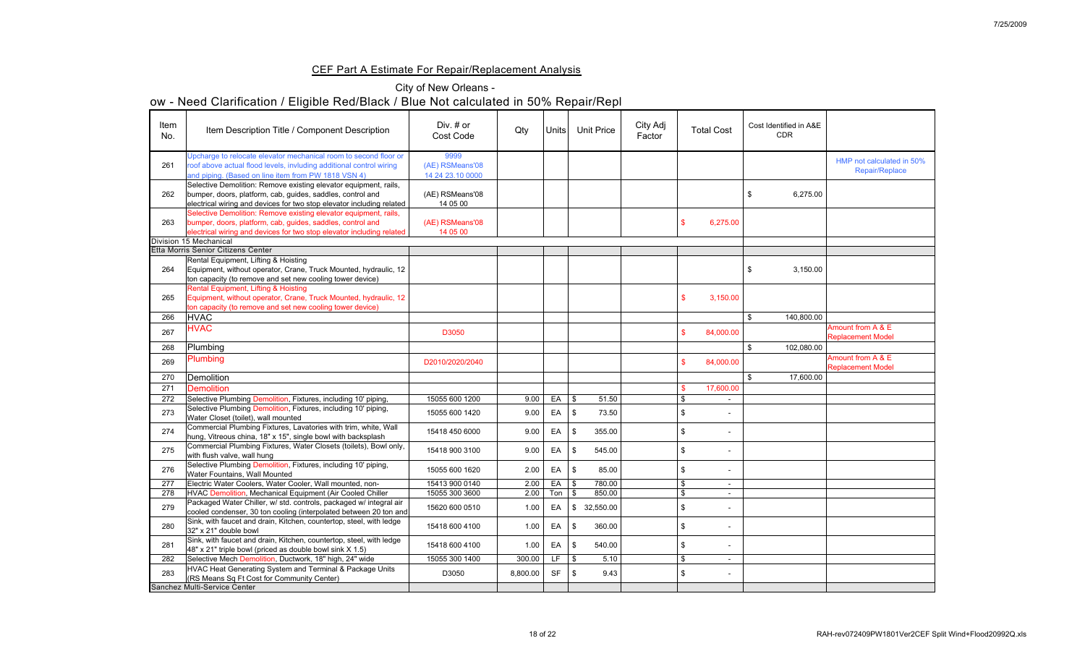## CEF Part A Estimate For Repair/Replacement Analysis

## City of New Orleans -

| Item<br>No. | Item Description Title / Component Description                                                                                                                                                          | Div. $#$ or<br><b>Cost Code</b>             | Qty      | Units <sup> </sup> | <b>Unit Price</b>          | City Adj<br>Factor | <b>Total Cost</b> | Cost Identified in A&E<br><b>CDR</b> |                                                    |
|-------------|---------------------------------------------------------------------------------------------------------------------------------------------------------------------------------------------------------|---------------------------------------------|----------|--------------------|----------------------------|--------------------|-------------------|--------------------------------------|----------------------------------------------------|
| 261         | Upcharge to relocate elevator mechanical room to second floor or<br>roof above actual flood levels, invluding additional control wiring<br>and piping. (Based on line item from PW 1818 VSN 4)          | 9999<br>(AE) RSMeans'08<br>14 24 23.10 0000 |          |                    |                            |                    |                   |                                      | HMP not calculated in 50%<br><b>Repair/Replace</b> |
| 262         | Selective Demolition: Remove existing elevator equipment, rails,<br>bumper, doors, platform, cab, guides, saddles, control and<br>electrical wiring and devices for two stop elevator including related | (AE) RSMeans'08<br>14 05 00                 |          |                    |                            |                    |                   | 6,275.00<br>\$                       |                                                    |
| 263         | Selective Demolition: Remove existing elevator equipment, rails,<br>bumper, doors, platform, cab, guides, saddles, control and<br>electrical wiring and devices for two stop elevator including related | (AE) RSMeans'08<br>14 05 00                 |          |                    |                            |                    | 6,275.00          |                                      |                                                    |
|             | Division 15 Mechanical                                                                                                                                                                                  |                                             |          |                    |                            |                    |                   |                                      |                                                    |
|             | <b>Etta Morris Senior Citizens Center</b>                                                                                                                                                               |                                             |          |                    |                            |                    |                   |                                      |                                                    |
| 264         | Rental Equipment, Lifting & Hoisting<br>Equipment, without operator, Crane, Truck Mounted, hydraulic, 12<br>ton capacity (to remove and set new cooling tower device)                                   |                                             |          |                    |                            |                    |                   | 3,150.00<br>\$                       |                                                    |
| 265         | Rental Equipment, Lifting & Hoisting<br>Equipment, without operator, Crane, Truck Mounted, hydraulic, 12<br>ton capacity (to remove and set new cooling tower device)                                   |                                             |          |                    |                            |                    | 3,150.00          |                                      |                                                    |
| 266         | <b>HVAC</b>                                                                                                                                                                                             |                                             |          |                    |                            |                    |                   | $\mathfrak{L}$<br>140,800.00         |                                                    |
| 267         | <b>HVAC</b>                                                                                                                                                                                             | D3050                                       |          |                    |                            |                    | 84,000.00         |                                      | Amount from A & E<br><b>Replacement Model</b>      |
| 268         | Plumbing                                                                                                                                                                                                |                                             |          |                    |                            |                    |                   | 102,080.00                           |                                                    |
| 269         | <b>Plumbing</b>                                                                                                                                                                                         | D2010/2020/2040                             |          |                    |                            |                    | 84,000.00         |                                      | Amount from A & E<br><b>Replacement Model</b>      |
| 270         | <b>Demolition</b>                                                                                                                                                                                       |                                             |          |                    |                            |                    |                   | 17,600.00                            |                                                    |
| 271         | <b>Demolition</b>                                                                                                                                                                                       |                                             |          |                    |                            |                    | 17,600.00         |                                      |                                                    |
| 272         | Selective Plumbing Demolition, Fixtures, including 10' piping,                                                                                                                                          | 15055 600 1200                              | 9.00     | EA                 | $\mathfrak{F}$<br>51.50    |                    | $\sim$            |                                      |                                                    |
| 273         | Selective Plumbing Demolition, Fixtures, including 10' piping,<br>Water Closet (toilet), wall mounted                                                                                                   | 15055 600 1420                              | 9.00     | EA                 | 73.50<br>්                 |                    |                   |                                      |                                                    |
| 274         | Commercial Plumbing Fixtures, Lavatories with trim, white, Wall<br>hung, Vitreous china, 18" x 15", single bowl with backsplash                                                                         | 15418 450 6000                              | 9.00     | EA                 | 355.00                     |                    |                   |                                      |                                                    |
| 275         | Commercial Plumbing Fixtures, Water Closets (toilets), Bowl only,<br>with flush valve, wall hung                                                                                                        | 15418 900 3100                              | 9.00     | EA                 | 545.00                     |                    | $\blacksquare$    |                                      |                                                    |
| 276         | Selective Plumbing Demolition, Fixtures, including 10' piping,<br>Water Fountains, Wall Mounted                                                                                                         | 15055 600 1620                              | 2.00     | EA                 | 85.00                      |                    | $\,$ $\,$         |                                      |                                                    |
| 277         | Electric Water Coolers, Water Cooler, Wall mounted, non-                                                                                                                                                | 15413 900 0140                              | 2.00     | EA                 | 780.00<br>\$               |                    | $\sim$            |                                      |                                                    |
| 278         | HVAC Demolition, Mechanical Equipment (Air Cooled Chiller                                                                                                                                               | 15055 300 3600                              | 2.00     | Ton                | 850.00<br>-\$              |                    | $\sim$            |                                      |                                                    |
| 279         | Packaged Water Chiller, w/ std. controls, packaged w/ integral air<br>cooled condenser, 30 ton cooling (interpolated between 20 ton and                                                                 | 15620 600 0510                              | 1.00     | EA                 | 32,550.00<br>$\mathcal{S}$ |                    | $\blacksquare$    |                                      |                                                    |
| 280         | Sink, with faucet and drain, Kitchen, countertop, steel, with ledge<br>32" x 21" double bowl                                                                                                            | 15418 600 4100                              | 1.00     | EA                 | 360.00                     |                    |                   |                                      |                                                    |
| 281         | Sink, with faucet and drain, Kitchen, countertop, steel, with ledge<br>$ 48" \times 21"$ triple bowl (priced as double bowl sink X 1.5)                                                                 | 15418 600 4100                              | 1.00     | EA                 | 540.00                     |                    | $\blacksquare$    |                                      |                                                    |
| 282         | Selective Mech Demolition, Ductwork, 18" high, 24" wide                                                                                                                                                 | 15055 300 1400                              | 300.00   | LF                 | $\sqrt{3}$<br>5.10         |                    | $\sim$            |                                      |                                                    |
| 283         | <b>HVAC Heat Generating System and Terminal &amp; Package Units</b><br>(RS Means Sq Ft Cost for Community Center)                                                                                       | D3050                                       | 8,800.00 | <b>SF</b>          | 9.43<br>\$                 |                    | $\sim$            |                                      |                                                    |
|             | <b>Sanchez Multi-Service Center</b>                                                                                                                                                                     |                                             |          |                    |                            |                    |                   |                                      |                                                    |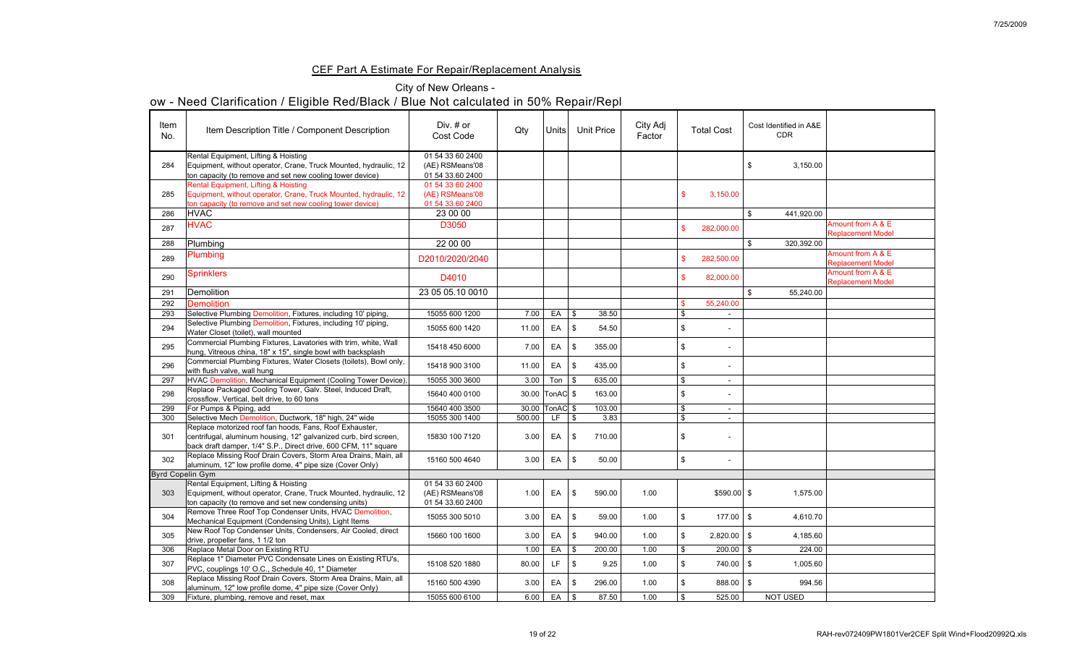## CEF Part A Estimate For Repair/Replacement Analysis

## City of New Orleans -

| Item<br>No.      | Item Description Title / Component Description                                                                                                                                                 | Div. $#$ or<br><b>Cost Code</b>                         | Qty    | Units                   |                | <b>Unit Price</b> | City Adj<br>Factor | <b>Total Cost</b>                    | Cost Identified in A&E<br><b>CDR</b> |                                               |
|------------------|------------------------------------------------------------------------------------------------------------------------------------------------------------------------------------------------|---------------------------------------------------------|--------|-------------------------|----------------|-------------------|--------------------|--------------------------------------|--------------------------------------|-----------------------------------------------|
| 284              | Rental Equipment, Lifting & Hoisting<br>Equipment, without operator, Crane, Truck Mounted, hydraulic, 12<br>ton capacity (to remove and set new cooling tower device)                          | 01 54 33 60 2400<br>(AE) RSMeans'08<br>01 54 33.60 2400 |        |                         |                |                   |                    |                                      | 3,150.00<br>\$                       |                                               |
| 285              | Rental Equipment, Lifting & Hoisting<br>Equipment, without operator, Crane, Truck Mounted, hydraulic, 12<br>ton capacity (to remove and set new cooling tower device)                          | 01 54 33 60 2400<br>(AE) RSMeans'08<br>01 54 33.60 2400 |        |                         |                |                   |                    | 3,150.00                             |                                      |                                               |
| 286              | <b>HVAC</b>                                                                                                                                                                                    | 23 00 00                                                |        |                         |                |                   |                    |                                      | 441,920.00<br>\$                     |                                               |
| 287              | <b>HVAC</b>                                                                                                                                                                                    | D3050                                                   |        |                         |                |                   |                    | 282,000.00                           |                                      | Amount from A & E<br><b>Replacement Model</b> |
| 288              | Plumbing                                                                                                                                                                                       | 22 00 00                                                |        |                         |                |                   |                    |                                      | 320,392.00<br>$\mathcal{S}$          |                                               |
| 289              | <b>Plumbing</b>                                                                                                                                                                                | D2010/2020/2040                                         |        |                         |                |                   |                    | 282,500.00                           |                                      | Amount from A & E<br><b>Replacement Model</b> |
| 290              | <b>Sprinklers</b>                                                                                                                                                                              | D4010                                                   |        |                         |                |                   |                    | 82,000.00                            |                                      | Amount from A & E<br><b>Replacement Model</b> |
| 291              | Demolition                                                                                                                                                                                     | 23 05 05 10 0010                                        |        |                         |                |                   |                    |                                      | 55,240.00<br>$\mathbb{S}$            |                                               |
| 292              | <b>Demolition</b>                                                                                                                                                                              |                                                         |        |                         |                |                   |                    | 55,240.00                            |                                      |                                               |
| 293              | Selective Plumbing Demolition, Fixtures, including 10' piping,                                                                                                                                 | 15055 600 1200                                          | 7.00   | EA                      | $\mathfrak{F}$ | 38.50             |                    | $\sim$                               |                                      |                                               |
| 294              | Selective Plumbing Demolition, Fixtures, including 10' piping,<br>Water Closet (toilet), wall mounted                                                                                          | 15055 600 1420                                          | 11.00  | EA                      | \$             | 54.50             |                    | $\sim$                               |                                      |                                               |
| 295              | Commercial Plumbing Fixtures, Lavatories with trim, white, Wall<br>hung, Vitreous china, 18" x 15", single bowl with backsplash                                                                | 15418 450 6000                                          | 7.00   | EA                      | - \$           | 355.00            |                    | $\sim$                               |                                      |                                               |
| 296              | Commercial Plumbing Fixtures, Water Closets (toilets), Bowl only,<br>with flush valve, wall hung                                                                                               | 15418 900 3100                                          | 11.00  | EA                      | - \$           | 435.00            |                    |                                      |                                      |                                               |
| 297              | HVAC Demolition, Mechanical Equipment (Cooling Tower Device),                                                                                                                                  | 15055 300 3600                                          | 3.00   | Ton                     | l \$           | 635.00            |                    |                                      |                                      |                                               |
| 298              | Replace Packaged Cooling Tower, Galv. Steel, Induced Draft,<br>crossflow, Vertical, belt drive, to 60 tons                                                                                     | 15640 400 0100                                          |        | 30.00   Ton AC   \$     |                | 163.00            |                    |                                      |                                      |                                               |
| 299              | For Pumps & Piping, add                                                                                                                                                                        | 15640 400 3500                                          |        | 30.00   TonAC   \$      |                | 103.00            |                    | $\blacksquare$                       |                                      |                                               |
| 300              | Selective Mech Demolition, Ductwork, 18" high, 24" wide                                                                                                                                        | 15055 300 1400                                          | 500.00 | TE.                     | $\mathcal{S}$  | 3.83              |                    |                                      |                                      |                                               |
| 301              | Replace motorized roof fan hoods, Fans, Roof Exhauster,<br>centrifugal, aluminum housing, 12" galvanized curb, bird screen,<br>back draft damper, 1/4" S.P., Direct drive, 600 CFM, 11" square | 15830 100 7120                                          | 3.00   | EA                      | - \$           | 710.00            |                    |                                      |                                      |                                               |
| 302              | Replace Missing Roof Drain Covers, Storm Area Drains, Main, all<br>aluminum, 12" low profile dome, 4" pipe size (Cover Only)                                                                   | 15160 500 4640                                          | 3.00   | EA                      |                | 50.00             |                    | -\$                                  |                                      |                                               |
| Byrd Copelin Gym |                                                                                                                                                                                                |                                                         |        |                         |                |                   |                    |                                      |                                      |                                               |
| 303              | Rental Equipment, Lifting & Hoisting<br>Equipment, without operator, Crane, Truck Mounted, hydraulic, 12<br>(ton capacity (to remove and set new condensing units)                             | 01 54 33 60 2400<br>(AE) RSMeans'08<br>01 54 33.60 2400 | 1.00   | EA                      |                | 590.00            | 1.00               | $$590.00$ \ \$                       | 1,575.00                             |                                               |
| 304              | Remove Three Roof Top Condenser Units, HVAC Demolition,<br>Mechanical Equipment (Condensing Units), Light Items                                                                                | 15055 300 5010                                          | 3.00   | EA                      |                | 59.00             | 1.00               | $177.00$ \ \$                        | 4,610.70                             |                                               |
| 305              | New Roof Top Condenser Units, Condensers, Air Cooled, direct<br>drive, propeller fans, 1 1/2 ton                                                                                               | 15660 100 1600                                          | 3.00   | EA                      |                | 940.00            | 1.00               | $2,820.00$   \$                      | 4,185.60                             |                                               |
| 306              | Replace Metal Door on Existing RTU                                                                                                                                                             |                                                         | 1.00   | EA                      | - \$           | 200.00            | 1.00               | $200.00$   \$                        | 224.00                               |                                               |
| 307              | Replace 1" Diameter PVC Condensate Lines on Existing RTU's,<br>PVC, couplings 10' O.C., Schedule 40, 1" Diameter                                                                               | 15108 520 1880                                          | 80.00  | LF                      | - \$           | 9.25              | 1.00               | $740.00$   \$                        | 1,005.60                             |                                               |
| 308              | Replace Missing Roof Drain Covers, Storm Area Drains, Main, all<br>aluminum, 12" low profile dome, 4" pipe size (Cover Only)                                                                   | 15160 500 4390                                          | 3.00   | EA                      |                | 296.00            | 1.00               | $888.00$   \$                        | 994.56                               |                                               |
| 309              | Fixture, plumbing, remove and reset, max                                                                                                                                                       | 15055 600 6100                                          |        | $6.00$ EA $\frac{1}{3}$ |                | 87.50             | 1.00               | 525.00<br>$\boldsymbol{\mathcal{S}}$ | NOT USED                             |                                               |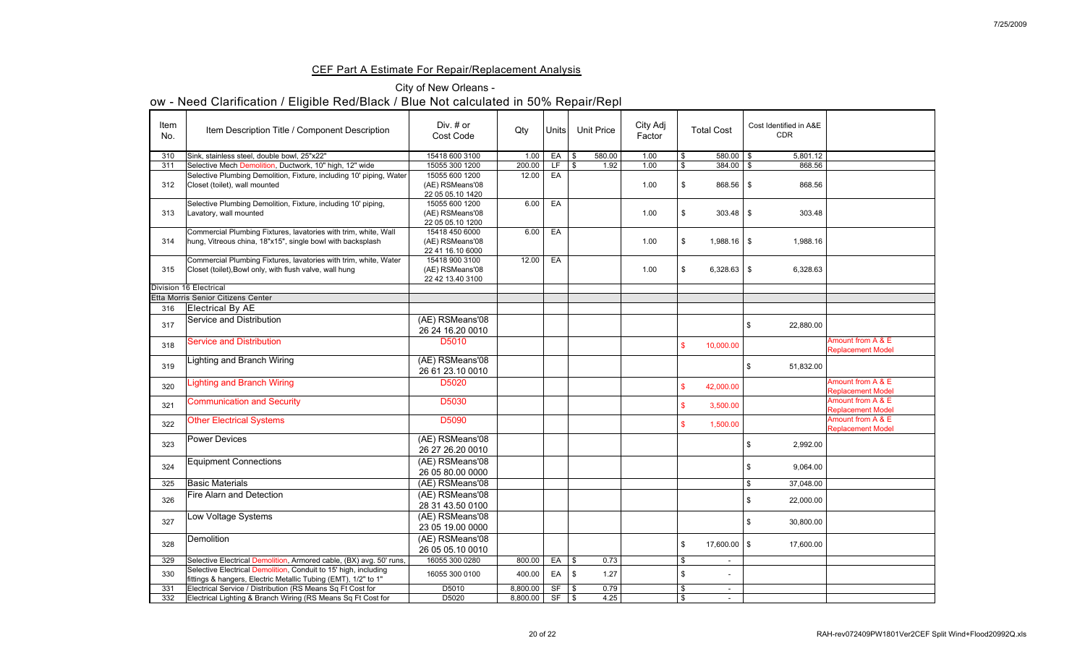## CEF Part A Estimate For Repair/Replacement Analysis

## City of New Orleans -

| Item<br>No. | Item Description Title / Component Description                                                                                    | Div. $#$ or<br><b>Cost Code</b>                       | Qty      | Units        | <b>Unit Price</b> |      | City Adj<br>Factor |                            | <b>Total Cost</b> | Cost Identified in A&E<br><b>CDR</b>   |                                               |
|-------------|-----------------------------------------------------------------------------------------------------------------------------------|-------------------------------------------------------|----------|--------------|-------------------|------|--------------------|----------------------------|-------------------|----------------------------------------|-----------------------------------------------|
| 310         | Sink, stainless steel, double bowl, 25"x22"                                                                                       | 15418 600 3100                                        | 1.00     | EA           | l \$<br>580.00    |      | 1.00               | -\$                        | $580.00$   \$     | 5,801.12                               |                                               |
| 311         | Selective Mech Demolition, Ductwork, 10" high, 12" wide                                                                           | 15055 300 1200                                        | 200.00   | LF.          | <b>S</b>          | 1.92 | 1.00               |                            | 384.00            | 868.56<br>- \$                         |                                               |
| 312         | Selective Plumbing Demolition, Fixture, including 10' piping, Water<br>Closet (toilet), wall mounted                              | 15055 600 1200<br>(AE) RSMeans'08<br>22 05 05.10 1420 | 12.00    | EA           |                   |      | 1.00               |                            | $868.56$ \$       | 868.56                                 |                                               |
| 313         | Selective Plumbing Demolition, Fixture, including 10' piping,<br>Lavatory, wall mounted                                           | 15055 600 1200<br>(AE) RSMeans'08<br>22 05 05.10 1200 | 6.00     | EA           |                   |      | 1.00               |                            | $303.48$ \ \ \$   | 303.48                                 |                                               |
| 314         | Commercial Plumbing Fixtures, lavatories with trim, white, Wall<br>hung, Vitreous china, 18"x15", single bowl with backsplash     | 15418 450 6000<br>(AE) RSMeans'08<br>22 41 16.10 6000 | 6.00     | EA           |                   |      | 1.00               |                            | $1,988.16$ \$     | 1,988.16                               |                                               |
| 315         | Commercial Plumbing Fixtures, lavatories with trim, white, Water<br>Closet (toilet), Bowl only, with flush valve, wall hung       | 15418 900 3100<br>(AE) RSMeans'08<br>22 42 13.40 3100 | 12.00    | EA           |                   |      | 1.00               |                            | $6,328.63$ \$     | 6,328.63                               |                                               |
|             | <b>Division 16 Electrical</b>                                                                                                     |                                                       |          |              |                   |      |                    |                            |                   |                                        |                                               |
|             | Etta Morris Senior Citizens Center                                                                                                |                                                       |          |              |                   |      |                    |                            |                   |                                        |                                               |
| 316         | <b>Electrical By AE</b>                                                                                                           |                                                       |          |              |                   |      |                    |                            |                   |                                        |                                               |
| 317         | <b>Service and Distribution</b>                                                                                                   | (AE) RSMeans'08<br>26 24 16.20 0010                   |          |              |                   |      |                    |                            |                   | 22,880.00<br>$\mathcal{S}$             |                                               |
| 318         | <b>Service and Distribution</b>                                                                                                   | D5010                                                 |          |              |                   |      |                    |                            | 10,000.00         |                                        | Amount from A & E<br><b>Replacement Model</b> |
| 319         | <b>Lighting and Branch Wiring</b>                                                                                                 | (AE) RSMeans'08<br>26 61 23.10 0010                   |          |              |                   |      |                    |                            |                   | 51,832.00<br>\$                        |                                               |
| 320         | <b>Lighting and Branch Wiring</b>                                                                                                 | D5020                                                 |          |              |                   |      |                    |                            | 42,000.00         |                                        | Amount from A & E<br><b>Replacement Model</b> |
| 321         | <b>Communication and Security</b>                                                                                                 | D5030                                                 |          |              |                   |      |                    |                            | 3,500.00          |                                        | Amount from A & E<br><b>Replacement Model</b> |
| 322         | <b>Other Electrical Systems</b>                                                                                                   | D5090                                                 |          |              |                   |      |                    |                            | 1,500.00          |                                        | Amount from A & E<br><b>Replacement Model</b> |
| 323         | <b>Power Devices</b>                                                                                                              | (AE) RSMeans'08<br>26 27 26.20 0010                   |          |              |                   |      |                    |                            |                   | 2,992.00<br>\$                         |                                               |
| 324         | <b>Equipment Connections</b>                                                                                                      | (AE) RSMeans'08<br>26 05 80.00 0000                   |          |              |                   |      |                    |                            |                   | 9,064.00<br>$\boldsymbol{\mathsf{\$}}$ |                                               |
| 325         | <b>Basic Materials</b>                                                                                                            | (AE) RSMeans'08                                       |          |              |                   |      |                    |                            |                   | 37,048.00                              |                                               |
| 326         | Fire Alarn and Detection                                                                                                          | (AE) RSMeans'08<br>28 31 43.50 0100                   |          |              |                   |      |                    |                            |                   | 22,000.00<br>\$                        |                                               |
| 327         | Low Voltage Systems                                                                                                               | (AE) RSMeans'08<br>23 05 19.00 0000                   |          |              |                   |      |                    |                            |                   | 30,800.00                              |                                               |
| 328         | Demolition                                                                                                                        | (AE) RSMeans'08<br>26 05 05.10 0010                   |          |              |                   |      |                    | - \$                       | $17,600.00$   \$  | 17,600.00                              |                                               |
| 329         | Selective Electrical Demolition, Armored cable, (BX) avg. 50' runs,                                                               | 16055 300 0280                                        | 800.00   | EA           | $\vert$ \$        | 0.73 |                    | $\boldsymbol{\mathcal{S}}$ | $\sim$            |                                        |                                               |
| 330         | Selective Electrical Demolition, Conduit to 15' high, including<br>fittings & hangers, Electric Metallic Tubing (EMT), 1/2" to 1" | 16055 300 0100                                        | 400.00   | EA           | \$                | 1.27 |                    |                            |                   |                                        |                                               |
| 331         | Electrical Service / Distribution (RS Means Sq Ft Cost for                                                                        | D5010                                                 | 8,800.00 | <b>SF</b>    | l \$              | 0.79 |                    | $\boldsymbol{\mathcal{F}}$ | $\sim$            |                                        |                                               |
|             | Electrical Lighting & Branch Wiring (RS Means Sq Ft Cost for                                                                      | D5020                                                 | 8,800.00 | $SF$ $\sqrt$ |                   | 4.25 |                    | $\boldsymbol{\mathsf{S}}$  |                   |                                        |                                               |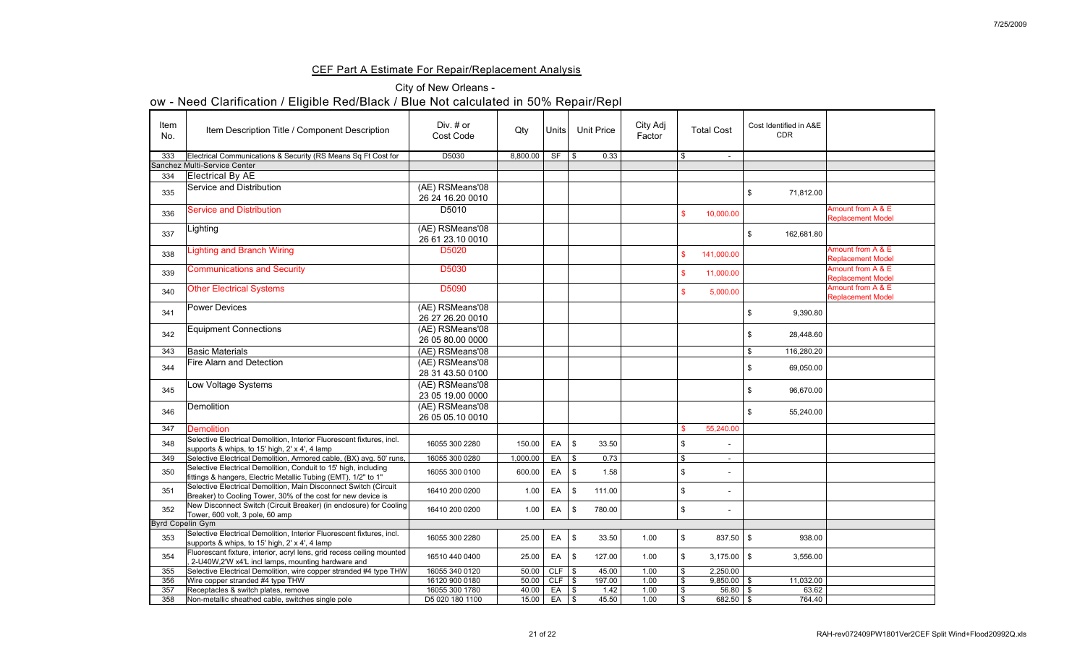### CEF Part A Estimate For Repair/Replacement Analysis

## City of New Orleans -

|             | <u>UW - INGGU UIAITIIUANUIT / LIIYIDIG INGU/DIAUN / DIUG INULUAIUUIAIGU III JU /0 INGPAII/INGPI</u>                               |                                     |          |                   |                            |                   |                    |    |                   |                                         |                                               |
|-------------|-----------------------------------------------------------------------------------------------------------------------------------|-------------------------------------|----------|-------------------|----------------------------|-------------------|--------------------|----|-------------------|-----------------------------------------|-----------------------------------------------|
| Item<br>No. | Item Description Title / Component Description                                                                                    | Div. # or<br><b>Cost Code</b>       | Qty      | Units             |                            | <b>Unit Price</b> | City Adj<br>Factor |    | <b>Total Cost</b> | Cost Identified in A&E<br><b>CDR</b>    |                                               |
| 333         | Electrical Communications & Security (RS Means Sq Ft Cost for                                                                     | D5030                               | 8,800.00 | <b>SF</b>         | $\mathcal{S}$              | 0.33              |                    | S  | $\blacksquare$    |                                         |                                               |
|             | <b>Sanchez Multi-Service Center</b>                                                                                               |                                     |          |                   |                            |                   |                    |    |                   |                                         |                                               |
| 334         | Electrical By AE                                                                                                                  |                                     |          |                   |                            |                   |                    |    |                   |                                         |                                               |
| 335         | Service and Distribution                                                                                                          | (AE) RSMeans'08<br>26 24 16.20 0010 |          |                   |                            |                   |                    |    |                   | 71,812.00<br>$\boldsymbol{\mathcal{S}}$ |                                               |
| 336         | <b>Service and Distribution</b>                                                                                                   | D5010                               |          |                   |                            |                   |                    |    | 10,000.00         |                                         | Amount from A & E<br><b>Replacement Model</b> |
| 337         | Lighting                                                                                                                          | (AE) RSMeans'08<br>26 61 23.10 0010 |          |                   |                            |                   |                    |    |                   | 162,681.80<br>\$                        |                                               |
| 338         | <b>Lighting and Branch Wiring</b>                                                                                                 | D5020                               |          |                   |                            |                   |                    |    | 141,000.00        |                                         | Amount from A & E<br><b>Replacement Model</b> |
| 339         | <b>Communications and Security</b>                                                                                                | <b>D5030</b>                        |          |                   |                            |                   |                    |    | 11,000.00         |                                         | Amount from A & E<br><b>Replacement Model</b> |
| 340         | <b>Other Electrical Systems</b>                                                                                                   | D5090                               |          |                   |                            |                   |                    |    | 5,000.00          |                                         | Amount from A & E<br><b>Replacement Model</b> |
| 341         | <b>Power Devices</b>                                                                                                              | (AE) RSMeans'08<br>26 27 26.20 0010 |          |                   |                            |                   |                    |    |                   | 9,390.80                                |                                               |
| 342         | <b>Equipment Connections</b>                                                                                                      | (AE) RSMeans'08<br>26 05 80.00 0000 |          |                   |                            |                   |                    |    |                   | 28,448.60<br>\$                         |                                               |
| 343         | <b>Basic Materials</b>                                                                                                            | (AE) RSMeans'08                     |          |                   |                            |                   |                    |    |                   | 116,280.20<br>$\mathcal{L}$             |                                               |
| 344         | <b>Fire Alarn and Detection</b>                                                                                                   | (AE) RSMeans'08<br>28 31 43.50 0100 |          |                   |                            |                   |                    |    |                   | 69,050.00<br>\$                         |                                               |
| 345         | Low Voltage Systems                                                                                                               | (AE) RSMeans'08<br>23 05 19.00 0000 |          |                   |                            |                   |                    |    |                   | 96,670.00<br>\$                         |                                               |
| 346         | <b>Demolition</b>                                                                                                                 | (AE) RSMeans'08<br>26 05 05 10 0010 |          |                   |                            |                   |                    |    |                   | 55,240.00<br>\$                         |                                               |
| 347         | <b>Demolition</b>                                                                                                                 |                                     |          |                   |                            |                   |                    |    | 55,240.00         |                                         |                                               |
| 348         | Selective Electrical Demolition, Interior Fluorescent fixtures, incl.<br>supports & whips, to 15' high, 2' x 4', 4 lamp           | 16055 300 2280                      | 150.00   | EA                | $\mathcal{S}$              | 33.50             |                    |    | $\blacksquare$    |                                         |                                               |
| 349         | Selective Electrical Demolition, Armored cable, (BX) avg. 50' runs,                                                               | 16055 300 0280                      | 1,000.00 | EA                | $\frac{1}{3}$              | 0.73              |                    |    |                   |                                         |                                               |
| 350         | Selective Electrical Demolition, Conduit to 15' high, including<br>fittings & hangers, Electric Metallic Tubing (EMT), 1/2" to 1" | 16055 300 0100                      | 600.00   | EA                | $\mathfrak{F}$             | 1.58              |                    |    | $\blacksquare$    |                                         |                                               |
| 351         | Selective Electrical Demolition, Main Disconnect Switch (Circuit<br>Breaker) to Cooling Tower, 30% of the cost for new device is  | 16410 200 0200                      | 1.00     | EA                | $\boldsymbol{\mathcal{S}}$ | 111.00            |                    |    | $\blacksquare$    |                                         |                                               |
| 352         | New Disconnect Switch (Circuit Breaker) (in enclosure) for Cooling<br>Tower, 600 volt, 3 pole, 60 amp                             | 16410 200 0200                      | 1.00     | EA                | $\boldsymbol{\mathcal{S}}$ | 780.00            |                    |    | $\blacksquare$    |                                         |                                               |
|             | <b>Byrd Copelin Gym</b>                                                                                                           |                                     |          |                   |                            |                   |                    |    |                   |                                         |                                               |
| 353         | Selective Electrical Demolition, Interior Fluorescent fixtures, incl.<br>supports & whips, to 15' high, 2' x 4', 4 lamp           | 16055 300 2280                      | 25.00    | EA                | $\boldsymbol{\mathcal{S}}$ | 33.50             | 1.00               |    | $837.50$ \ \ \$   | 938.00                                  |                                               |
| 354         | Fluorescant fixture, interior, acryl lens, grid recess ceiling mounted<br>2-U40W,2'W x4'L incl lamps, mounting hardware and       | 16510 440 0400                      | 25.00    | EA                | $\mathbb{S}$               | 127.00            | 1.00               |    | $3,175.00$ \$     | 3,556.00                                |                                               |
| 355         | Selective Electrical Demolition, wire copper stranded #4 type THW                                                                 | 16055 340 0120                      | 50.00    | CLF $\frac{1}{3}$ |                            | 45.00             | 1.00               |    | 2,250.00          |                                         |                                               |
| 356         | Wire copper stranded #4 type THW                                                                                                  | 16120 900 0180                      | 50.00    | CLF $\frac{1}{3}$ |                            | 197.00            | 1.00               |    | $9,850.00$ \$     | 11,032.00                               |                                               |
| 357         | Receptacles & switch plates, remove                                                                                               | 16055 300 1780                      | 40.00    | $EA$ $\sqrt$      |                            | 1.42              | 1.00               |    | $56.80$ \$        | 63.62                                   |                                               |
| 358         | Non-metallic sheathed cable, switches single pole                                                                                 | D5 020 180 1100                     | 15.00    | $EA$ $\sqrt$      |                            | 45.50             | 1.00               | \$ | $682.50$ \$       | 764.40                                  |                                               |